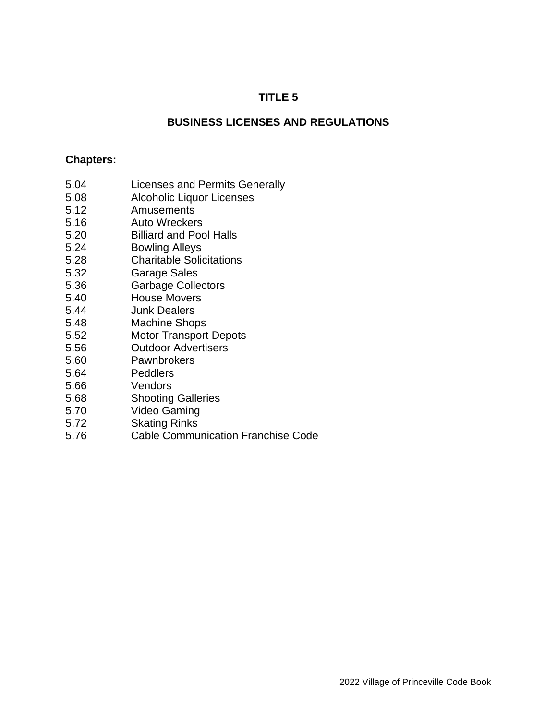## **TITLE 5**

### **BUSINESS LICENSES AND REGULATIONS**

#### **Chapters:**

- 5.04 Licenses and Permits Generally
- 5.08 Alcoholic Liquor Licenses
- 5.12 Amusements
- 5.16 Auto Wreckers
- 5.20 Billiard and Pool Halls
- 5.24 Bowling Alleys
- 5.28 Charitable Solicitations
- 5.32 Garage Sales
- 5.36 Garbage Collectors
- 5.40 House Movers
- 5.44 Junk Dealers
- 5.48 Machine Shops
- 5.52 Motor Transport Depots
- 5.56 Outdoor Advertisers
- 5.60 Pawnbrokers
- 5.64 Peddlers
- 5.66 Vendors
- 5.68 Shooting Galleries
- 5.70 Video Gaming
- 5.72 Skating Rinks
- 5.76 Cable Communication Franchise Code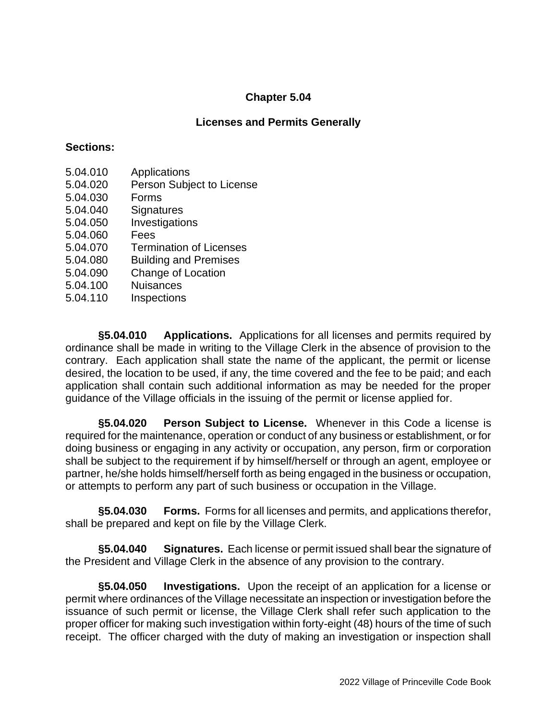### **Licenses and Permits Generally**

### **Sections:**

- 5.04.010 Applications
- 5.04.020 Person Subject to License
- 5.04.030 Forms
- 5.04.040 Signatures
- 5.04.050 Investigations
- 5.04.060 Fees
- 5.04.070 Termination of Licenses
- 5.04.080 Building and Premises
- 5.04.090 Change of Location
- 5.04.100 Nuisances
- 5.04.110 Inspections

**§5.04.010 Applications.** Applications for all licenses and permits required by ordinance shall be made in writing to the Village Clerk in the absence of provision to the contrary. Each application shall state the name of the applicant, the permit or license desired, the location to be used, if any, the time covered and the fee to be paid; and each application shall contain such additional information as may be needed for the proper guidance of the Village officials in the issuing of the permit or license applied for.

**§5.04.020 Person Subject to License.** Whenever in this Code a license is required for the maintenance, operation or conduct of any business or establishment, or for doing business or engaging in any activity or occupation, any person, firm or corporation shall be subject to the requirement if by himself/herself or through an agent, employee or partner, he/she holds himself/herself forth as being engaged in the business or occupation, or attempts to perform any part of such business or occupation in the Village.

**§5.04.030 Forms.** Forms for all licenses and permits, and applications therefor, shall be prepared and kept on file by the Village Clerk.

**§5.04.040 Signatures.** Each license or permit issued shall bear the signature of the President and Village Clerk in the absence of any provision to the contrary.

**§5.04.050 Investigations.** Upon the receipt of an application for a license or permit where ordinances of the Village necessitate an inspection or investigation before the issuance of such permit or license, the Village Clerk shall refer such application to the proper officer for making such investigation within forty-eight (48) hours of the time of such receipt. The officer charged with the duty of making an investigation or inspection shall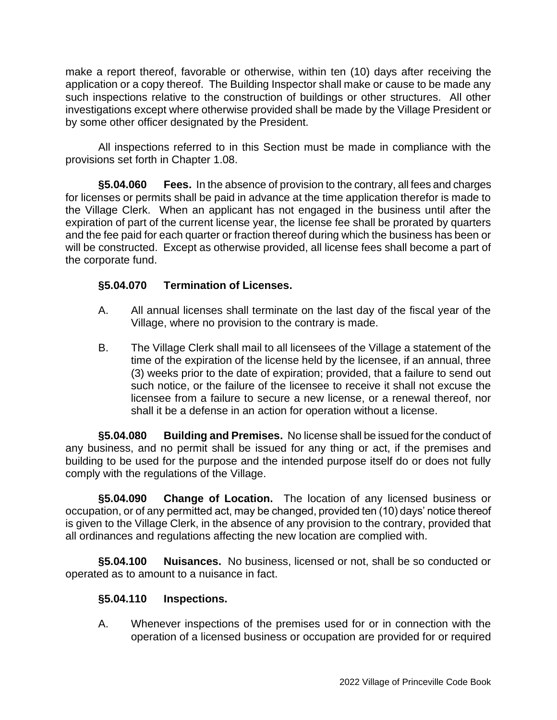make a report thereof, favorable or otherwise, within ten (10) days after receiving the application or a copy thereof. The Building Inspector shall make or cause to be made any such inspections relative to the construction of buildings or other structures. All other investigations except where otherwise provided shall be made by the Village President or by some other officer designated by the President.

All inspections referred to in this Section must be made in compliance with the provisions set forth in Chapter 1.08.

**§5.04.060 Fees.** In the absence of provision to the contrary, all fees and charges for licenses or permits shall be paid in advance at the time application therefor is made to the Village Clerk. When an applicant has not engaged in the business until after the expiration of part of the current license year, the license fee shall be prorated by quarters and the fee paid for each quarter or fraction thereof during which the business has been or will be constructed. Except as otherwise provided, all license fees shall become a part of the corporate fund.

## **§5.04.070 Termination of Licenses.**

- A. All annual licenses shall terminate on the last day of the fiscal year of the Village, where no provision to the contrary is made.
- B. The Village Clerk shall mail to all licensees of the Village a statement of the time of the expiration of the license held by the licensee, if an annual, three (3) weeks prior to the date of expiration; provided, that a failure to send out such notice, or the failure of the licensee to receive it shall not excuse the licensee from a failure to secure a new license, or a renewal thereof, nor shall it be a defense in an action for operation without a license.

**§5.04.080 Building and Premises.** No license shall be issued for the conduct of any business, and no permit shall be issued for any thing or act, if the premises and building to be used for the purpose and the intended purpose itself do or does not fully comply with the regulations of the Village.

**§5.04.090 Change of Location.** The location of any licensed business or occupation, or of any permitted act, may be changed, provided ten (10) days' notice thereof is given to the Village Clerk, in the absence of any provision to the contrary, provided that all ordinances and regulations affecting the new location are complied with.

**§5.04.100 Nuisances.** No business, licensed or not, shall be so conducted or operated as to amount to a nuisance in fact.

## **§5.04.110 Inspections.**

A. Whenever inspections of the premises used for or in connection with the operation of a licensed business or occupation are provided for or required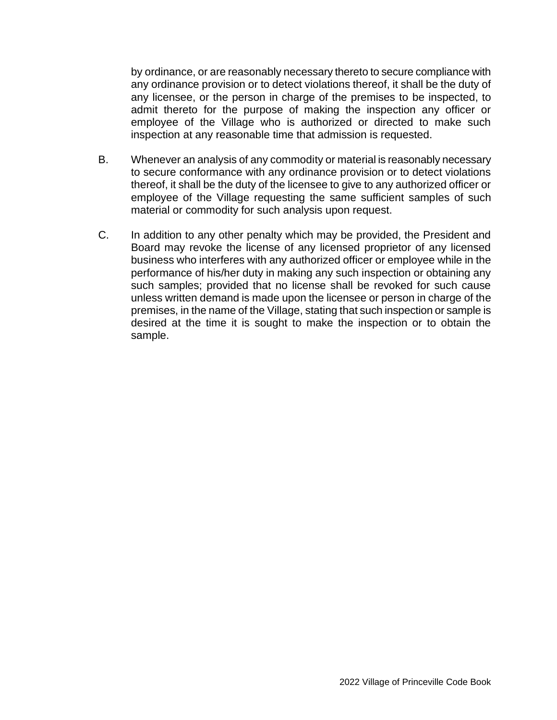by ordinance, or are reasonably necessary thereto to secure compliance with any ordinance provision or to detect violations thereof, it shall be the duty of any licensee, or the person in charge of the premises to be inspected, to admit thereto for the purpose of making the inspection any officer or employee of the Village who is authorized or directed to make such inspection at any reasonable time that admission is requested.

- B. Whenever an analysis of any commodity or material is reasonably necessary to secure conformance with any ordinance provision or to detect violations thereof, it shall be the duty of the licensee to give to any authorized officer or employee of the Village requesting the same sufficient samples of such material or commodity for such analysis upon request.
- C. In addition to any other penalty which may be provided, the President and Board may revoke the license of any licensed proprietor of any licensed business who interferes with any authorized officer or employee while in the performance of his/her duty in making any such inspection or obtaining any such samples; provided that no license shall be revoked for such cause unless written demand is made upon the licensee or person in charge of the premises, in the name of the Village, stating that such inspection or sample is desired at the time it is sought to make the inspection or to obtain the sample.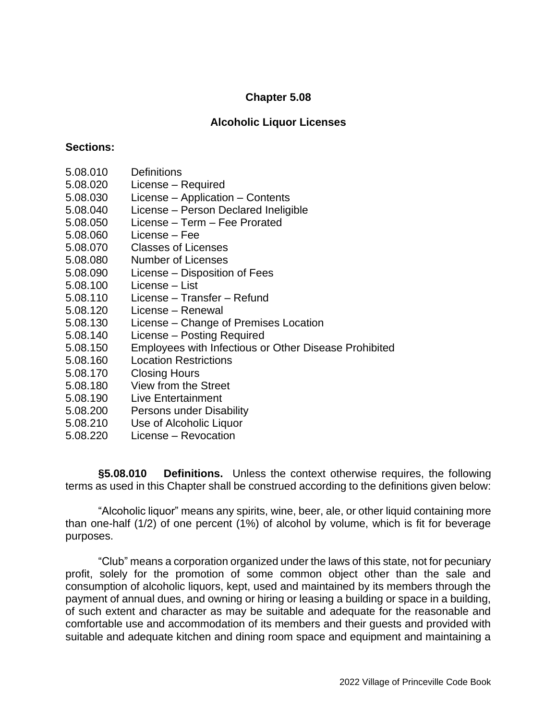### **Alcoholic Liquor Licenses**

### **Sections:**

- 5.08.010 Definitions
- 5.08.020 License Required
- 5.08.030 License Application Contents
- 5.08.040 License Person Declared Ineligible
- 5.08.050 License Term Fee Prorated
- 5.08.060 License Fee
- 5.08.070 Classes of Licenses
- 5.08.080 Number of Licenses
- 5.08.090 License Disposition of Fees
- 5.08.100 License List
- 5.08.110 License Transfer Refund
- 5.08.120 License Renewal
- 5.08.130 License Change of Premises Location
- 5.08.140 License Posting Required
- 5.08.150 Employees with Infectious or Other Disease Prohibited
- 5.08.160 Location Restrictions
- 5.08.170 Closing Hours
- 5.08.180 View from the Street
- 5.08.190 Live Entertainment
- 5.08.200 Persons under Disability
- 5.08.210 Use of Alcoholic Liquor
- 5.08.220 License Revocation

**§5.08.010 Definitions.** Unless the context otherwise requires, the following terms as used in this Chapter shall be construed according to the definitions given below:

"Alcoholic liquor" means any spirits, wine, beer, ale, or other liquid containing more than one-half (1/2) of one percent (1%) of alcohol by volume, which is fit for beverage purposes.

"Club" means a corporation organized under the laws of this state, not for pecuniary profit, solely for the promotion of some common object other than the sale and consumption of alcoholic liquors, kept, used and maintained by its members through the payment of annual dues, and owning or hiring or leasing a building or space in a building, of such extent and character as may be suitable and adequate for the reasonable and comfortable use and accommodation of its members and their guests and provided with suitable and adequate kitchen and dining room space and equipment and maintaining a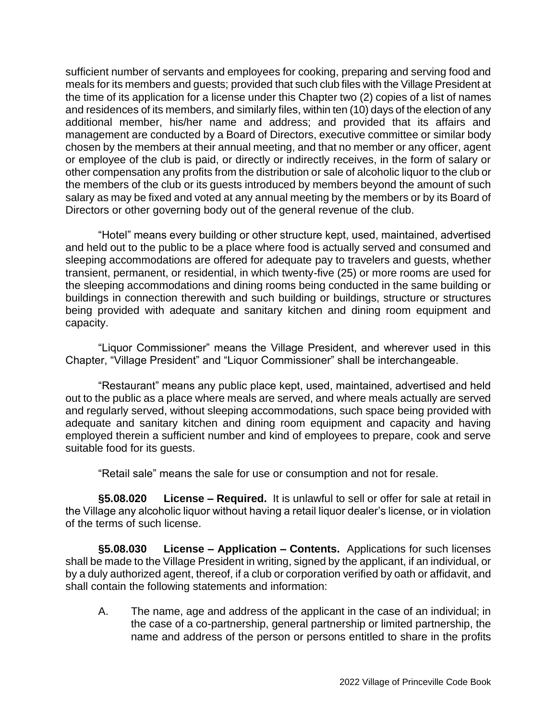sufficient number of servants and employees for cooking, preparing and serving food and meals for its members and guests; provided that such club files with the Village President at the time of its application for a license under this Chapter two (2) copies of a list of names and residences of its members, and similarly files, within ten (10) days of the election of any additional member, his/her name and address; and provided that its affairs and management are conducted by a Board of Directors, executive committee or similar body chosen by the members at their annual meeting, and that no member or any officer, agent or employee of the club is paid, or directly or indirectly receives, in the form of salary or other compensation any profits from the distribution or sale of alcoholic liquor to the club or the members of the club or its guests introduced by members beyond the amount of such salary as may be fixed and voted at any annual meeting by the members or by its Board of Directors or other governing body out of the general revenue of the club.

"Hotel" means every building or other structure kept, used, maintained, advertised and held out to the public to be a place where food is actually served and consumed and sleeping accommodations are offered for adequate pay to travelers and guests, whether transient, permanent, or residential, in which twenty-five (25) or more rooms are used for the sleeping accommodations and dining rooms being conducted in the same building or buildings in connection therewith and such building or buildings, structure or structures being provided with adequate and sanitary kitchen and dining room equipment and capacity.

"Liquor Commissioner" means the Village President, and wherever used in this Chapter, "Village President" and "Liquor Commissioner" shall be interchangeable.

"Restaurant" means any public place kept, used, maintained, advertised and held out to the public as a place where meals are served, and where meals actually are served and regularly served, without sleeping accommodations, such space being provided with adequate and sanitary kitchen and dining room equipment and capacity and having employed therein a sufficient number and kind of employees to prepare, cook and serve suitable food for its guests.

"Retail sale" means the sale for use or consumption and not for resale.

**§5.08.020 License – Required.** It is unlawful to sell or offer for sale at retail in the Village any alcoholic liquor without having a retail liquor dealer's license, or in violation of the terms of such license.

**§5.08.030 License – Application – Contents.** Applications for such licenses shall be made to the Village President in writing, signed by the applicant, if an individual, or by a duly authorized agent, thereof, if a club or corporation verified by oath or affidavit, and shall contain the following statements and information:

A. The name, age and address of the applicant in the case of an individual; in the case of a co-partnership, general partnership or limited partnership, the name and address of the person or persons entitled to share in the profits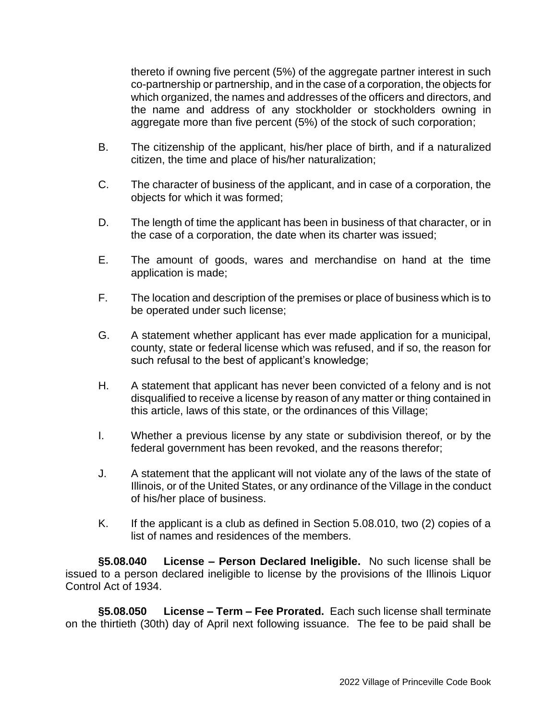thereto if owning five percent (5%) of the aggregate partner interest in such co-partnership or partnership, and in the case of a corporation, the objects for which organized, the names and addresses of the officers and directors, and the name and address of any stockholder or stockholders owning in aggregate more than five percent (5%) of the stock of such corporation;

- B. The citizenship of the applicant, his/her place of birth, and if a naturalized citizen, the time and place of his/her naturalization;
- C. The character of business of the applicant, and in case of a corporation, the objects for which it was formed;
- D. The length of time the applicant has been in business of that character, or in the case of a corporation, the date when its charter was issued;
- E. The amount of goods, wares and merchandise on hand at the time application is made;
- F. The location and description of the premises or place of business which is to be operated under such license;
- G. A statement whether applicant has ever made application for a municipal, county, state or federal license which was refused, and if so, the reason for such refusal to the best of applicant's knowledge;
- H. A statement that applicant has never been convicted of a felony and is not disqualified to receive a license by reason of any matter or thing contained in this article, laws of this state, or the ordinances of this Village;
- I. Whether a previous license by any state or subdivision thereof, or by the federal government has been revoked, and the reasons therefor;
- J. A statement that the applicant will not violate any of the laws of the state of Illinois, or of the United States, or any ordinance of the Village in the conduct of his/her place of business.
- K. If the applicant is a club as defined in Section 5.08.010, two (2) copies of a list of names and residences of the members.

**§5.08.040 License – Person Declared Ineligible.** No such license shall be issued to a person declared ineligible to license by the provisions of the Illinois Liquor Control Act of 1934.

**§5.08.050 License – Term – Fee Prorated.** Each such license shall terminate on the thirtieth (30th) day of April next following issuance. The fee to be paid shall be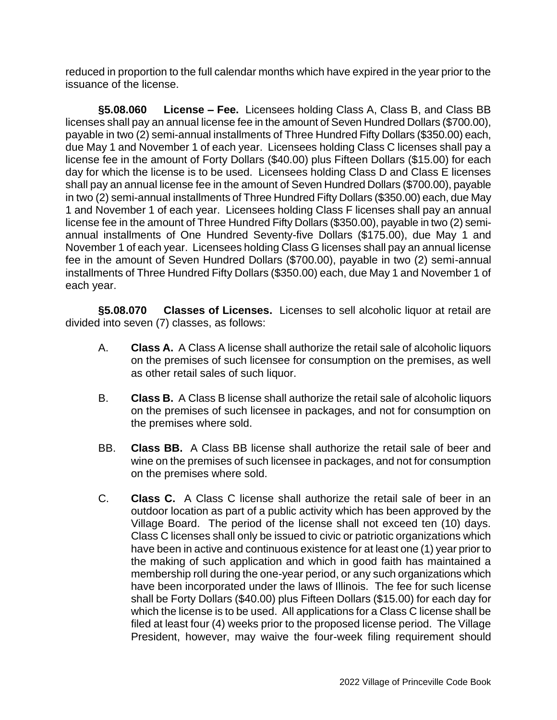reduced in proportion to the full calendar months which have expired in the year prior to the issuance of the license.

**§5.08.060 License – Fee.** Licensees holding Class A, Class B, and Class BB licenses shall pay an annual license fee in the amount of Seven Hundred Dollars (\$700.00), payable in two (2) semi-annual installments of Three Hundred Fifty Dollars (\$350.00) each, due May 1 and November 1 of each year. Licensees holding Class C licenses shall pay a license fee in the amount of Forty Dollars (\$40.00) plus Fifteen Dollars (\$15.00) for each day for which the license is to be used. Licensees holding Class D and Class E licenses shall pay an annual license fee in the amount of Seven Hundred Dollars (\$700.00), payable in two (2) semi-annual installments of Three Hundred Fifty Dollars (\$350.00) each, due May 1 and November 1 of each year. Licensees holding Class F licenses shall pay an annual license fee in the amount of Three Hundred Fifty Dollars (\$350.00), payable in two (2) semiannual installments of One Hundred Seventy-five Dollars (\$175.00), due May 1 and November 1 of each year. Licensees holding Class G licenses shall pay an annual license fee in the amount of Seven Hundred Dollars (\$700.00), payable in two (2) semi-annual installments of Three Hundred Fifty Dollars (\$350.00) each, due May 1 and November 1 of each year.

**§5.08.070 Classes of Licenses.** Licenses to sell alcoholic liquor at retail are divided into seven (7) classes, as follows:

- A. **Class A.** A Class A license shall authorize the retail sale of alcoholic liquors on the premises of such licensee for consumption on the premises, as well as other retail sales of such liquor.
- B. **Class B.** A Class B license shall authorize the retail sale of alcoholic liquors on the premises of such licensee in packages, and not for consumption on the premises where sold.
- BB. **Class BB.** A Class BB license shall authorize the retail sale of beer and wine on the premises of such licensee in packages, and not for consumption on the premises where sold.
- C. **Class C.** A Class C license shall authorize the retail sale of beer in an outdoor location as part of a public activity which has been approved by the Village Board. The period of the license shall not exceed ten (10) days. Class C licenses shall only be issued to civic or patriotic organizations which have been in active and continuous existence for at least one (1) year prior to the making of such application and which in good faith has maintained a membership roll during the one-year period, or any such organizations which have been incorporated under the laws of Illinois. The fee for such license shall be Forty Dollars (\$40.00) plus Fifteen Dollars (\$15.00) for each day for which the license is to be used. All applications for a Class C license shall be filed at least four (4) weeks prior to the proposed license period. The Village President, however, may waive the four-week filing requirement should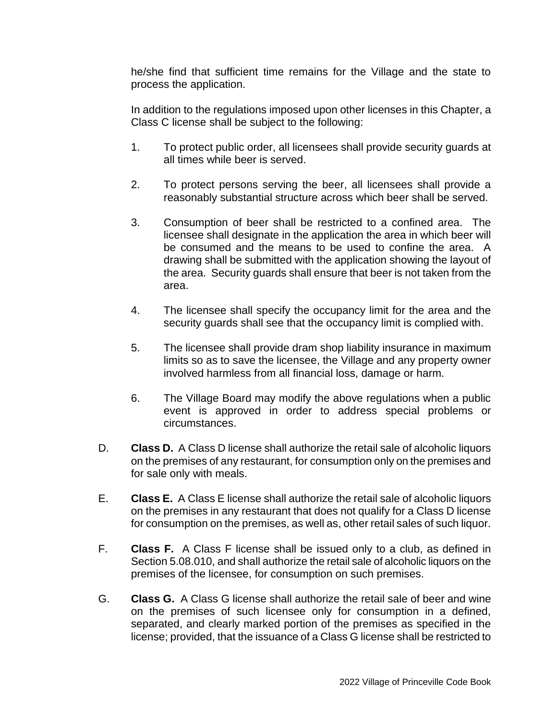he/she find that sufficient time remains for the Village and the state to process the application.

In addition to the regulations imposed upon other licenses in this Chapter, a Class C license shall be subject to the following:

- 1. To protect public order, all licensees shall provide security guards at all times while beer is served.
- 2. To protect persons serving the beer, all licensees shall provide a reasonably substantial structure across which beer shall be served.
- 3. Consumption of beer shall be restricted to a confined area. The licensee shall designate in the application the area in which beer will be consumed and the means to be used to confine the area. A drawing shall be submitted with the application showing the layout of the area. Security guards shall ensure that beer is not taken from the area.
- 4. The licensee shall specify the occupancy limit for the area and the security guards shall see that the occupancy limit is complied with.
- 5. The licensee shall provide dram shop liability insurance in maximum limits so as to save the licensee, the Village and any property owner involved harmless from all financial loss, damage or harm.
- 6. The Village Board may modify the above regulations when a public event is approved in order to address special problems or circumstances.
- D. **Class D.** A Class D license shall authorize the retail sale of alcoholic liquors on the premises of any restaurant, for consumption only on the premises and for sale only with meals.
- E. **Class E.** A Class E license shall authorize the retail sale of alcoholic liquors on the premises in any restaurant that does not qualify for a Class D license for consumption on the premises, as well as, other retail sales of such liquor.
- F. **Class F.** A Class F license shall be issued only to a club, as defined in Section 5.08.010, and shall authorize the retail sale of alcoholic liquors on the premises of the licensee, for consumption on such premises.
- G. **Class G.** A Class G license shall authorize the retail sale of beer and wine on the premises of such licensee only for consumption in a defined, separated, and clearly marked portion of the premises as specified in the license; provided, that the issuance of a Class G license shall be restricted to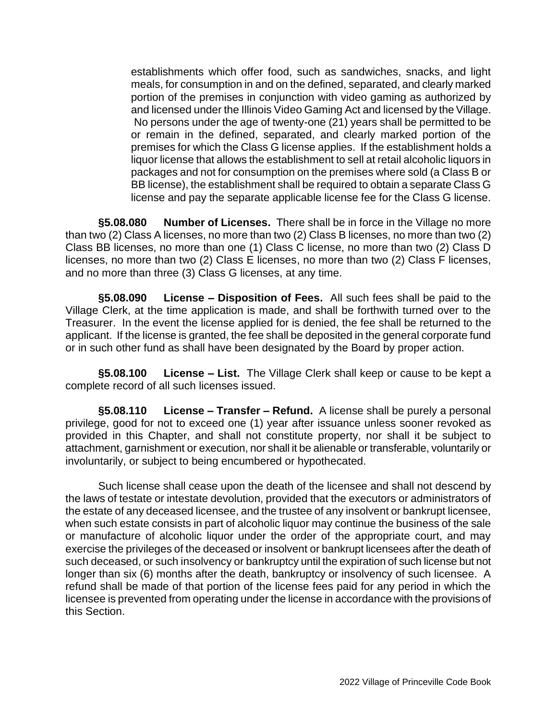establishments which offer food, such as sandwiches, snacks, and light meals, for consumption in and on the defined, separated, and clearly marked portion of the premises in conjunction with video gaming as authorized by and licensed under the Illinois Video Gaming Act and licensed by the Village. No persons under the age of twenty-one (21) years shall be permitted to be or remain in the defined, separated, and clearly marked portion of the premises for which the Class G license applies. If the establishment holds a liquor license that allows the establishment to sell at retail alcoholic liquors in packages and not for consumption on the premises where sold (a Class B or BB license), the establishment shall be required to obtain a separate Class G license and pay the separate applicable license fee for the Class G license.

**§5.08.080 Number of Licenses.** There shall be in force in the Village no more than two (2) Class A licenses, no more than two (2) Class B licenses, no more than two (2) Class BB licenses, no more than one (1) Class C license, no more than two (2) Class D licenses, no more than two (2) Class E licenses, no more than two (2) Class F licenses, and no more than three (3) Class G licenses, at any time.

**§5.08.090 License – Disposition of Fees.** All such fees shall be paid to the Village Clerk, at the time application is made, and shall be forthwith turned over to the Treasurer. In the event the license applied for is denied, the fee shall be returned to the applicant. If the license is granted, the fee shall be deposited in the general corporate fund or in such other fund as shall have been designated by the Board by proper action.

**§5.08.100 License – List.** The Village Clerk shall keep or cause to be kept a complete record of all such licenses issued.

**§5.08.110 License – Transfer – Refund.** A license shall be purely a personal privilege, good for not to exceed one (1) year after issuance unless sooner revoked as provided in this Chapter, and shall not constitute property, nor shall it be subject to attachment, garnishment or execution, nor shall it be alienable or transferable, voluntarily or involuntarily, or subject to being encumbered or hypothecated.

Such license shall cease upon the death of the licensee and shall not descend by the laws of testate or intestate devolution, provided that the executors or administrators of the estate of any deceased licensee, and the trustee of any insolvent or bankrupt licensee, when such estate consists in part of alcoholic liquor may continue the business of the sale or manufacture of alcoholic liquor under the order of the appropriate court, and may exercise the privileges of the deceased or insolvent or bankrupt licensees after the death of such deceased, or such insolvency or bankruptcy until the expiration of such license but not longer than six (6) months after the death, bankruptcy or insolvency of such licensee. A refund shall be made of that portion of the license fees paid for any period in which the licensee is prevented from operating under the license in accordance with the provisions of this Section.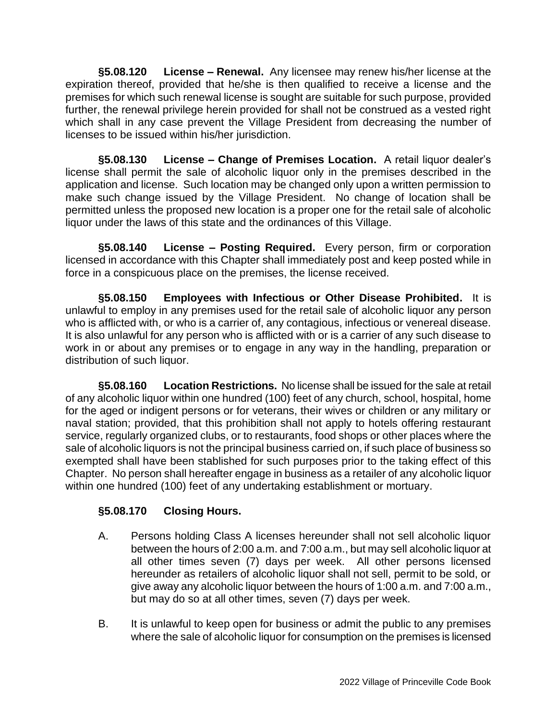**§5.08.120 License – Renewal.** Any licensee may renew his/her license at the expiration thereof, provided that he/she is then qualified to receive a license and the premises for which such renewal license is sought are suitable for such purpose, provided further, the renewal privilege herein provided for shall not be construed as a vested right which shall in any case prevent the Village President from decreasing the number of licenses to be issued within his/her jurisdiction.

**§5.08.130 License – Change of Premises Location.** A retail liquor dealer's license shall permit the sale of alcoholic liquor only in the premises described in the application and license. Such location may be changed only upon a written permission to make such change issued by the Village President. No change of location shall be permitted unless the proposed new location is a proper one for the retail sale of alcoholic liquor under the laws of this state and the ordinances of this Village.

**§5.08.140 License – Posting Required.** Every person, firm or corporation licensed in accordance with this Chapter shall immediately post and keep posted while in force in a conspicuous place on the premises, the license received.

**§5.08.150 Employees with Infectious or Other Disease Prohibited.** It is unlawful to employ in any premises used for the retail sale of alcoholic liquor any person who is afflicted with, or who is a carrier of, any contagious, infectious or venereal disease. It is also unlawful for any person who is afflicted with or is a carrier of any such disease to work in or about any premises or to engage in any way in the handling, preparation or distribution of such liquor.

**§5.08.160 Location Restrictions.** No license shall be issued for the sale at retail of any alcoholic liquor within one hundred (100) feet of any church, school, hospital, home for the aged or indigent persons or for veterans, their wives or children or any military or naval station; provided, that this prohibition shall not apply to hotels offering restaurant service, regularly organized clubs, or to restaurants, food shops or other places where the sale of alcoholic liquors is not the principal business carried on, if such place of business so exempted shall have been stablished for such purposes prior to the taking effect of this Chapter. No person shall hereafter engage in business as a retailer of any alcoholic liquor within one hundred (100) feet of any undertaking establishment or mortuary.

## **§5.08.170 Closing Hours.**

- A. Persons holding Class A licenses hereunder shall not sell alcoholic liquor between the hours of 2:00 a.m. and 7:00 a.m., but may sell alcoholic liquor at all other times seven (7) days per week. All other persons licensed hereunder as retailers of alcoholic liquor shall not sell, permit to be sold, or give away any alcoholic liquor between the hours of 1:00 a.m. and 7:00 a.m., but may do so at all other times, seven (7) days per week.
- B. It is unlawful to keep open for business or admit the public to any premises where the sale of alcoholic liquor for consumption on the premises is licensed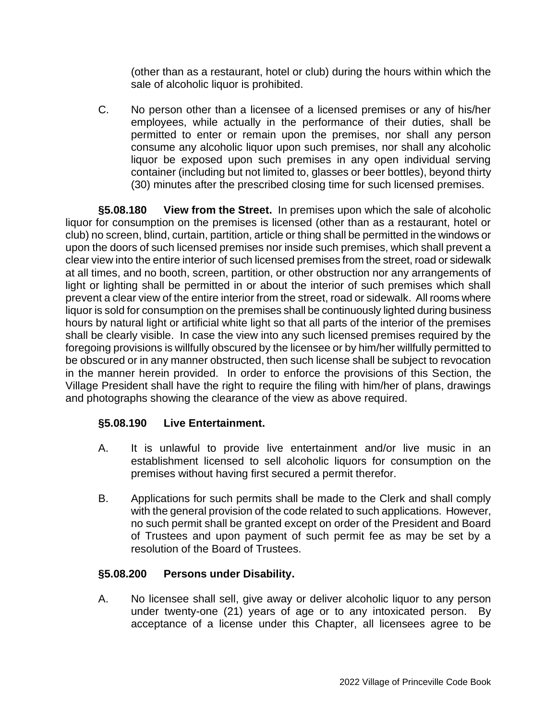(other than as a restaurant, hotel or club) during the hours within which the sale of alcoholic liquor is prohibited.

C. No person other than a licensee of a licensed premises or any of his/her employees, while actually in the performance of their duties, shall be permitted to enter or remain upon the premises, nor shall any person consume any alcoholic liquor upon such premises, nor shall any alcoholic liquor be exposed upon such premises in any open individual serving container (including but not limited to, glasses or beer bottles), beyond thirty (30) minutes after the prescribed closing time for such licensed premises.

**§5.08.180 View from the Street.** In premises upon which the sale of alcoholic liquor for consumption on the premises is licensed (other than as a restaurant, hotel or club) no screen, blind, curtain, partition, article or thing shall be permitted in the windows or upon the doors of such licensed premises nor inside such premises, which shall prevent a clear view into the entire interior of such licensed premises from the street, road or sidewalk at all times, and no booth, screen, partition, or other obstruction nor any arrangements of light or lighting shall be permitted in or about the interior of such premises which shall prevent a clear view of the entire interior from the street, road or sidewalk. All rooms where liquor is sold for consumption on the premises shall be continuously lighted during business hours by natural light or artificial white light so that all parts of the interior of the premises shall be clearly visible. In case the view into any such licensed premises required by the foregoing provisions is willfully obscured by the licensee or by him/her willfully permitted to be obscured or in any manner obstructed, then such license shall be subject to revocation in the manner herein provided. In order to enforce the provisions of this Section, the Village President shall have the right to require the filing with him/her of plans, drawings and photographs showing the clearance of the view as above required.

## **§5.08.190 Live Entertainment.**

- A. It is unlawful to provide live entertainment and/or live music in an establishment licensed to sell alcoholic liquors for consumption on the premises without having first secured a permit therefor.
- B. Applications for such permits shall be made to the Clerk and shall comply with the general provision of the code related to such applications. However, no such permit shall be granted except on order of the President and Board of Trustees and upon payment of such permit fee as may be set by a resolution of the Board of Trustees.

### **§5.08.200 Persons under Disability.**

A. No licensee shall sell, give away or deliver alcoholic liquor to any person under twenty-one (21) years of age or to any intoxicated person. By acceptance of a license under this Chapter, all licensees agree to be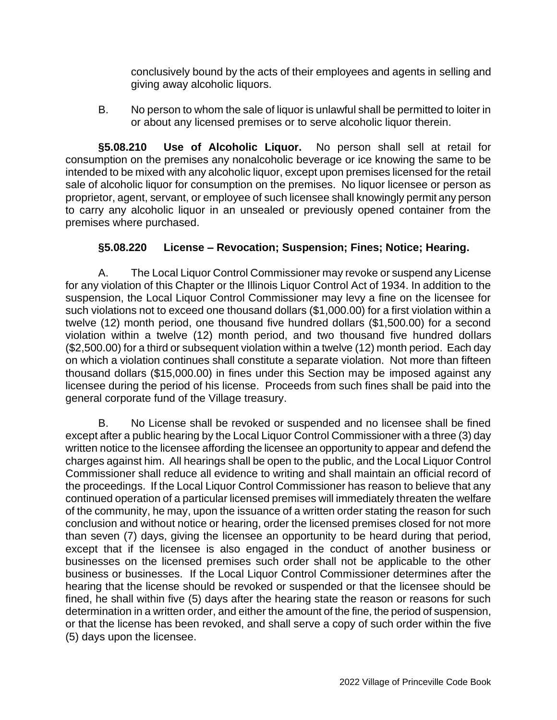conclusively bound by the acts of their employees and agents in selling and giving away alcoholic liquors.

B. No person to whom the sale of liquor is unlawful shall be permitted to loiter in or about any licensed premises or to serve alcoholic liquor therein.

**§5.08.210 Use of Alcoholic Liquor.** No person shall sell at retail for consumption on the premises any nonalcoholic beverage or ice knowing the same to be intended to be mixed with any alcoholic liquor, except upon premises licensed for the retail sale of alcoholic liquor for consumption on the premises. No liquor licensee or person as proprietor, agent, servant, or employee of such licensee shall knowingly permit any person to carry any alcoholic liquor in an unsealed or previously opened container from the premises where purchased.

## **§5.08.220 License – Revocation; Suspension; Fines; Notice; Hearing.**

A. The Local Liquor Control Commissioner may revoke or suspend any License for any violation of this Chapter or the Illinois Liquor Control Act of 1934. In addition to the suspension, the Local Liquor Control Commissioner may levy a fine on the licensee for such violations not to exceed one thousand dollars (\$1,000.00) for a first violation within a twelve (12) month period, one thousand five hundred dollars (\$1,500.00) for a second violation within a twelve (12) month period, and two thousand five hundred dollars (\$2,500.00) for a third or subsequent violation within a twelve (12) month period. Each day on which a violation continues shall constitute a separate violation. Not more than fifteen thousand dollars (\$15,000.00) in fines under this Section may be imposed against any licensee during the period of his license. Proceeds from such fines shall be paid into the general corporate fund of the Village treasury.

B. No License shall be revoked or suspended and no licensee shall be fined except after a public hearing by the Local Liquor Control Commissioner with a three (3) day written notice to the licensee affording the licensee an opportunity to appear and defend the charges against him. All hearings shall be open to the public, and the Local Liquor Control Commissioner shall reduce all evidence to writing and shall maintain an official record of the proceedings. If the Local Liquor Control Commissioner has reason to believe that any continued operation of a particular licensed premises will immediately threaten the welfare of the community, he may, upon the issuance of a written order stating the reason for such conclusion and without notice or hearing, order the licensed premises closed for not more than seven (7) days, giving the licensee an opportunity to be heard during that period, except that if the licensee is also engaged in the conduct of another business or businesses on the licensed premises such order shall not be applicable to the other business or businesses. If the Local Liquor Control Commissioner determines after the hearing that the license should be revoked or suspended or that the licensee should be fined, he shall within five (5) days after the hearing state the reason or reasons for such determination in a written order, and either the amount of the fine, the period of suspension, or that the license has been revoked, and shall serve a copy of such order within the five (5) days upon the licensee.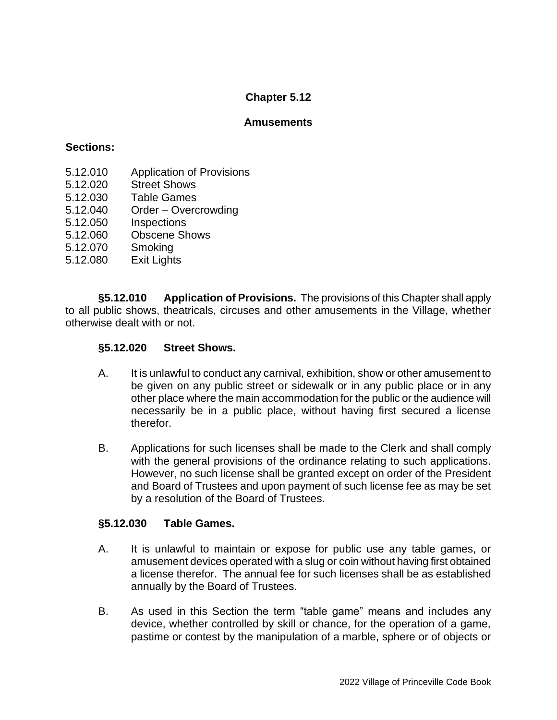### **Amusements**

### **Sections:**

- 5.12.010 Application of Provisions
- 5.12.020 Street Shows
- 5.12.030 Table Games
- 5.12.040 Order Overcrowding
- 5.12.050 Inspections
- 5.12.060 Obscene Shows
- 5.12.070 Smoking
- 5.12.080 Exit Lights

**§5.12.010 Application of Provisions.** The provisions of this Chapter shall apply to all public shows, theatricals, circuses and other amusements in the Village, whether otherwise dealt with or not.

### **§5.12.020 Street Shows.**

- A. It is unlawful to conduct any carnival, exhibition, show or other amusement to be given on any public street or sidewalk or in any public place or in any other place where the main accommodation for the public or the audience will necessarily be in a public place, without having first secured a license therefor.
- B. Applications for such licenses shall be made to the Clerk and shall comply with the general provisions of the ordinance relating to such applications. However, no such license shall be granted except on order of the President and Board of Trustees and upon payment of such license fee as may be set by a resolution of the Board of Trustees.

#### **§5.12.030 Table Games.**

- A. It is unlawful to maintain or expose for public use any table games, or amusement devices operated with a slug or coin without having first obtained a license therefor. The annual fee for such licenses shall be as established annually by the Board of Trustees.
- B. As used in this Section the term "table game" means and includes any device, whether controlled by skill or chance, for the operation of a game, pastime or contest by the manipulation of a marble, sphere or of objects or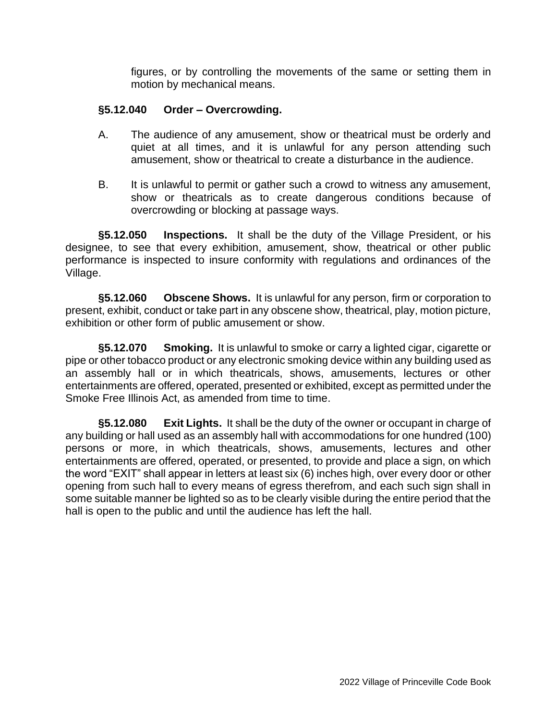figures, or by controlling the movements of the same or setting them in motion by mechanical means.

### **§5.12.040 Order – Overcrowding.**

- A. The audience of any amusement, show or theatrical must be orderly and quiet at all times, and it is unlawful for any person attending such amusement, show or theatrical to create a disturbance in the audience.
- B. It is unlawful to permit or gather such a crowd to witness any amusement, show or theatricals as to create dangerous conditions because of overcrowding or blocking at passage ways.

**§5.12.050 Inspections.** It shall be the duty of the Village President, or his designee, to see that every exhibition, amusement, show, theatrical or other public performance is inspected to insure conformity with regulations and ordinances of the Village.

**§5.12.060 Obscene Shows.** It is unlawful for any person, firm or corporation to present, exhibit, conduct or take part in any obscene show, theatrical, play, motion picture, exhibition or other form of public amusement or show.

**§5.12.070 Smoking.** It is unlawful to smoke or carry a lighted cigar, cigarette or pipe or other tobacco product or any electronic smoking device within any building used as an assembly hall or in which theatricals, shows, amusements, lectures or other entertainments are offered, operated, presented or exhibited, except as permitted under the Smoke Free Illinois Act, as amended from time to time.

**§5.12.080 Exit Lights.** It shall be the duty of the owner or occupant in charge of any building or hall used as an assembly hall with accommodations for one hundred (100) persons or more, in which theatricals, shows, amusements, lectures and other entertainments are offered, operated, or presented, to provide and place a sign, on which the word "EXIT" shall appear in letters at least six (6) inches high, over every door or other opening from such hall to every means of egress therefrom, and each such sign shall in some suitable manner be lighted so as to be clearly visible during the entire period that the hall is open to the public and until the audience has left the hall.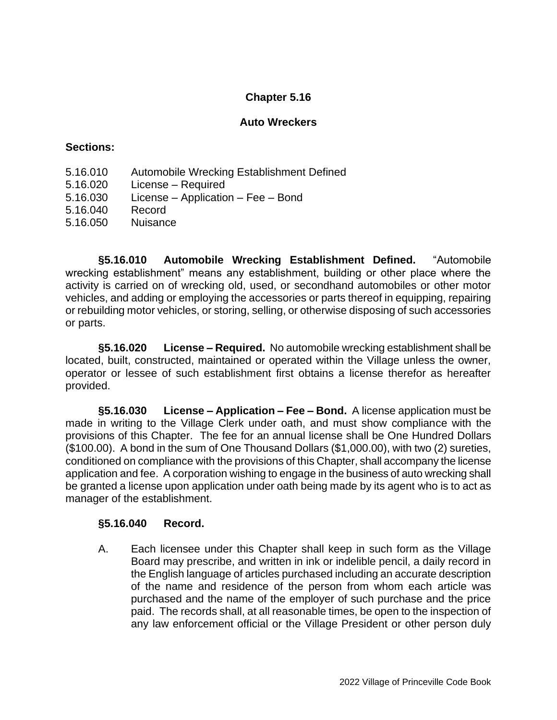### **Auto Wreckers**

### **Sections:**

- 5.16.010 Automobile Wrecking Establishment Defined
- 5.16.020 License Required
- 5.16.030 License Application Fee Bond
- 5.16.040 Record
- 5.16.050 Nuisance

**§5.16.010 Automobile Wrecking Establishment Defined.** "Automobile wrecking establishment" means any establishment, building or other place where the activity is carried on of wrecking old, used, or secondhand automobiles or other motor vehicles, and adding or employing the accessories or parts thereof in equipping, repairing or rebuilding motor vehicles, or storing, selling, or otherwise disposing of such accessories or parts.

**§5.16.020 License – Required.** No automobile wrecking establishment shall be located, built, constructed, maintained or operated within the Village unless the owner, operator or lessee of such establishment first obtains a license therefor as hereafter provided.

**§5.16.030 License – Application – Fee – Bond.** A license application must be made in writing to the Village Clerk under oath, and must show compliance with the provisions of this Chapter. The fee for an annual license shall be One Hundred Dollars (\$100.00). A bond in the sum of One Thousand Dollars (\$1,000.00), with two (2) sureties, conditioned on compliance with the provisions of this Chapter, shall accompany the license application and fee. A corporation wishing to engage in the business of auto wrecking shall be granted a license upon application under oath being made by its agent who is to act as manager of the establishment.

### **§5.16.040 Record.**

A. Each licensee under this Chapter shall keep in such form as the Village Board may prescribe, and written in ink or indelible pencil, a daily record in the English language of articles purchased including an accurate description of the name and residence of the person from whom each article was purchased and the name of the employer of such purchase and the price paid. The records shall, at all reasonable times, be open to the inspection of any law enforcement official or the Village President or other person duly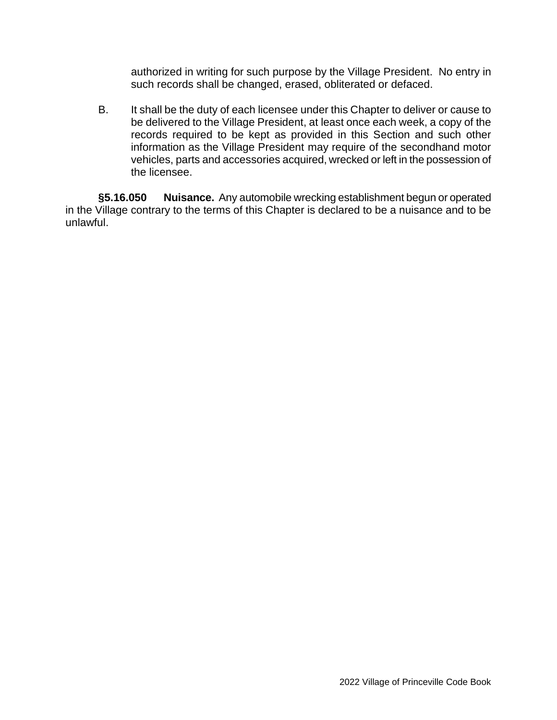authorized in writing for such purpose by the Village President. No entry in such records shall be changed, erased, obliterated or defaced.

B. It shall be the duty of each licensee under this Chapter to deliver or cause to be delivered to the Village President, at least once each week, a copy of the records required to be kept as provided in this Section and such other information as the Village President may require of the secondhand motor vehicles, parts and accessories acquired, wrecked or left in the possession of the licensee.

**§5.16.050 Nuisance.** Any automobile wrecking establishment begun or operated in the Village contrary to the terms of this Chapter is declared to be a nuisance and to be unlawful.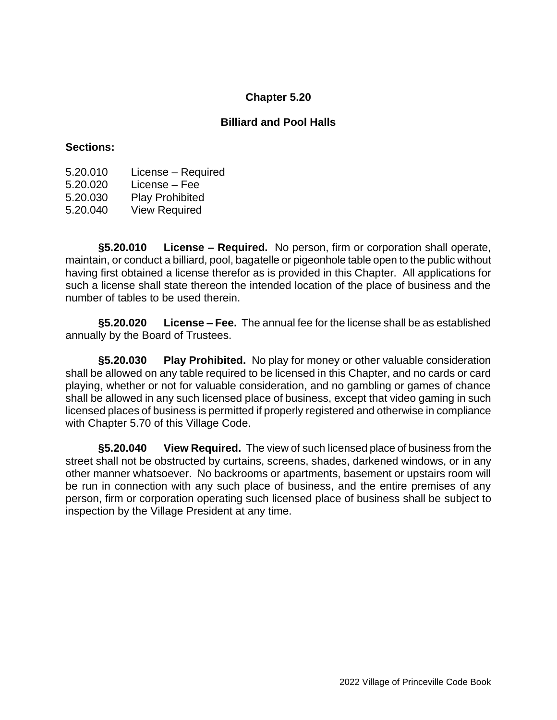### **Billiard and Pool Halls**

### **Sections:**

- 5.20.010 License Required
- 5.20.020 License Fee
- 5.20.030 Play Prohibited
- 5.20.040 View Required

**§5.20.010 License – Required.** No person, firm or corporation shall operate, maintain, or conduct a billiard, pool, bagatelle or pigeonhole table open to the public without having first obtained a license therefor as is provided in this Chapter. All applications for such a license shall state thereon the intended location of the place of business and the number of tables to be used therein.

**§5.20.020 License – Fee.** The annual fee for the license shall be as established annually by the Board of Trustees.

**§5.20.030 Play Prohibited.** No play for money or other valuable consideration shall be allowed on any table required to be licensed in this Chapter, and no cards or card playing, whether or not for valuable consideration, and no gambling or games of chance shall be allowed in any such licensed place of business, except that video gaming in such licensed places of business is permitted if properly registered and otherwise in compliance with Chapter 5.70 of this Village Code.

**§5.20.040 View Required.** The view of such licensed place of business from the street shall not be obstructed by curtains, screens, shades, darkened windows, or in any other manner whatsoever. No backrooms or apartments, basement or upstairs room will be run in connection with any such place of business, and the entire premises of any person, firm or corporation operating such licensed place of business shall be subject to inspection by the Village President at any time.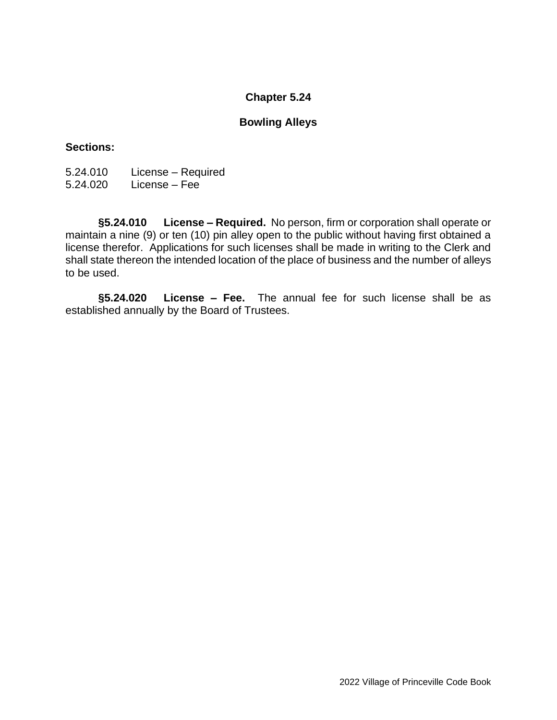### **Bowling Alleys**

### **Sections:**

5.24.010 License – Required 5.24.020 License – Fee

**§5.24.010 License – Required.** No person, firm or corporation shall operate or maintain a nine (9) or ten (10) pin alley open to the public without having first obtained a license therefor. Applications for such licenses shall be made in writing to the Clerk and shall state thereon the intended location of the place of business and the number of alleys to be used.

**§5.24.020 License – Fee.** The annual fee for such license shall be as established annually by the Board of Trustees.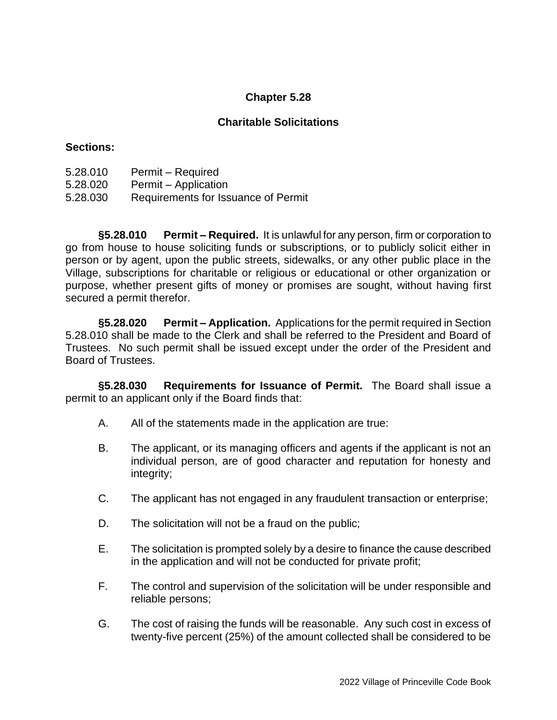## **Charitable Solicitations**

### **Sections:**

- 5.28.010 Permit Required
- 5.28.020 Permit Application
- 5.28.030 Requirements for Issuance of Permit

**§5.28.010 Permit – Required.** It is unlawful for any person, firm or corporation to go from house to house soliciting funds or subscriptions, or to publicly solicit either in person or by agent, upon the public streets, sidewalks, or any other public place in the Village, subscriptions for charitable or religious or educational or other organization or purpose, whether present gifts of money or promises are sought, without having first secured a permit therefor.

**§5.28.020 Permit – Application.** Applications for the permit required in Section 5.28.010 shall be made to the Clerk and shall be referred to the President and Board of Trustees. No such permit shall be issued except under the order of the President and Board of Trustees.

**§5.28.030 Requirements for Issuance of Permit.** The Board shall issue a permit to an applicant only if the Board finds that:

- A. All of the statements made in the application are true:
- B. The applicant, or its managing officers and agents if the applicant is not an individual person, are of good character and reputation for honesty and integrity;
- C. The applicant has not engaged in any fraudulent transaction or enterprise;
- D. The solicitation will not be a fraud on the public;
- E. The solicitation is prompted solely by a desire to finance the cause described in the application and will not be conducted for private profit;
- F. The control and supervision of the solicitation will be under responsible and reliable persons;
- G. The cost of raising the funds will be reasonable. Any such cost in excess of twenty-five percent (25%) of the amount collected shall be considered to be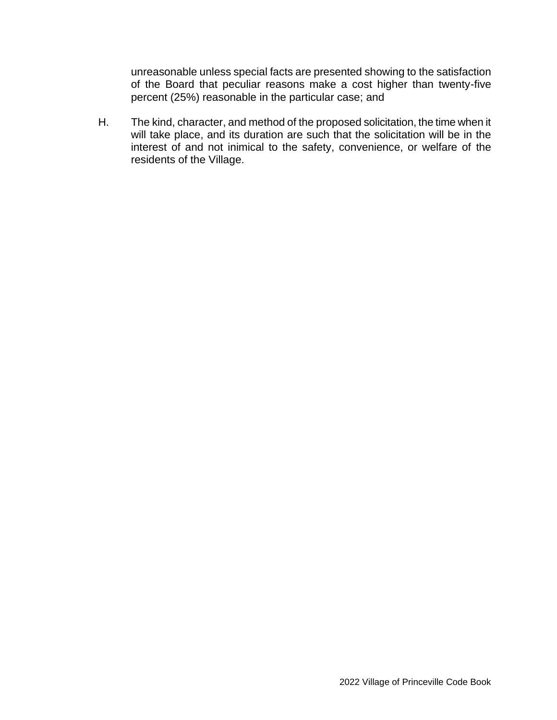unreasonable unless special facts are presented showing to the satisfaction of the Board that peculiar reasons make a cost higher than twenty-five percent (25%) reasonable in the particular case; and

H. The kind, character, and method of the proposed solicitation, the time when it will take place, and its duration are such that the solicitation will be in the interest of and not inimical to the safety, convenience, or welfare of the residents of the Village.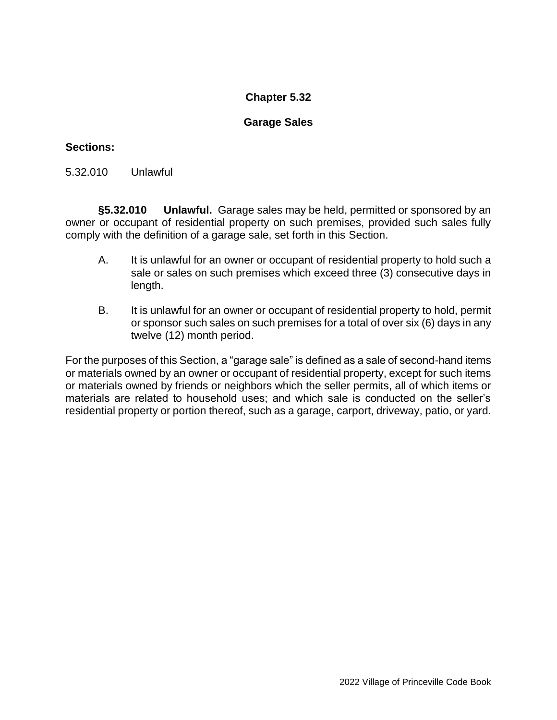## **Garage Sales**

## **Sections:**

5.32.010 Unlawful

**§5.32.010 Unlawful.** Garage sales may be held, permitted or sponsored by an owner or occupant of residential property on such premises, provided such sales fully comply with the definition of a garage sale, set forth in this Section.

- A. It is unlawful for an owner or occupant of residential property to hold such a sale or sales on such premises which exceed three (3) consecutive days in length.
- B. It is unlawful for an owner or occupant of residential property to hold, permit or sponsor such sales on such premises for a total of over six (6) days in any twelve (12) month period.

For the purposes of this Section, a "garage sale" is defined as a sale of second-hand items or materials owned by an owner or occupant of residential property, except for such items or materials owned by friends or neighbors which the seller permits, all of which items or materials are related to household uses; and which sale is conducted on the seller's residential property or portion thereof, such as a garage, carport, driveway, patio, or yard.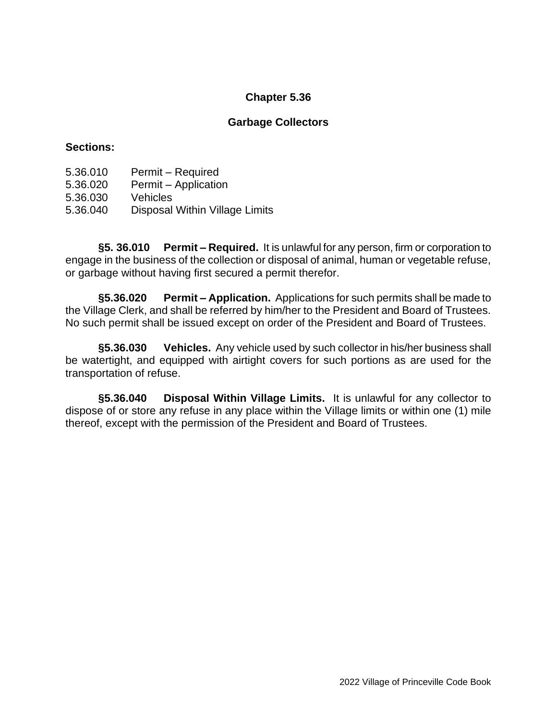### **Garbage Collectors**

#### **Sections:**

- 5.36.010 Permit Required
- 5.36.020 Permit Application
- 5.36.030 Vehicles
- 5.36.040 Disposal Within Village Limits

**§5. 36.010 Permit – Required.** It is unlawful for any person, firm or corporation to engage in the business of the collection or disposal of animal, human or vegetable refuse, or garbage without having first secured a permit therefor.

**§5.36.020 Permit – Application.** Applications for such permits shall be made to the Village Clerk, and shall be referred by him/her to the President and Board of Trustees. No such permit shall be issued except on order of the President and Board of Trustees.

**§5.36.030 Vehicles.** Any vehicle used by such collector in his/her business shall be watertight, and equipped with airtight covers for such portions as are used for the transportation of refuse.

**§5.36.040 Disposal Within Village Limits.** It is unlawful for any collector to dispose of or store any refuse in any place within the Village limits or within one (1) mile thereof, except with the permission of the President and Board of Trustees.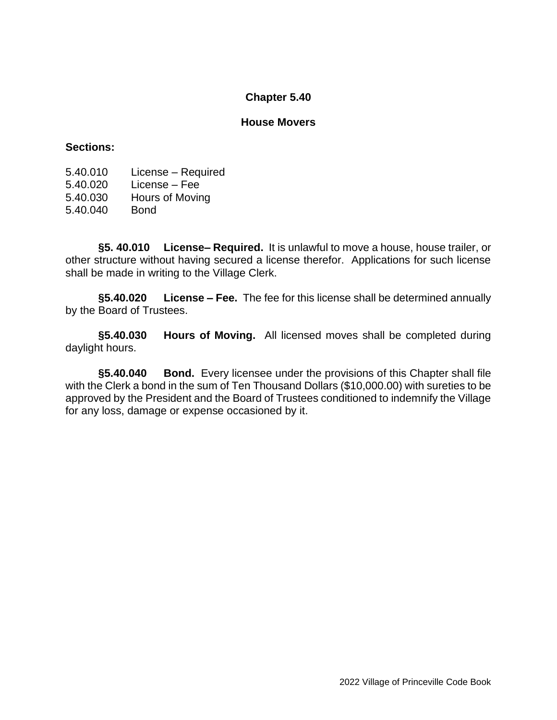#### **House Movers**

### **Sections:**

5.40.010 License – Required 5.40.020 License – Fee 5.40.030 Hours of Moving

5.40.040 Bond

**§5. 40.010 License– Required.** It is unlawful to move a house, house trailer, or other structure without having secured a license therefor. Applications for such license shall be made in writing to the Village Clerk.

**§5.40.020 License – Fee.** The fee for this license shall be determined annually by the Board of Trustees.

**§5.40.030 Hours of Moving.** All licensed moves shall be completed during daylight hours.

**§5.40.040 Bond.** Every licensee under the provisions of this Chapter shall file with the Clerk a bond in the sum of Ten Thousand Dollars (\$10,000.00) with sureties to be approved by the President and the Board of Trustees conditioned to indemnify the Village for any loss, damage or expense occasioned by it.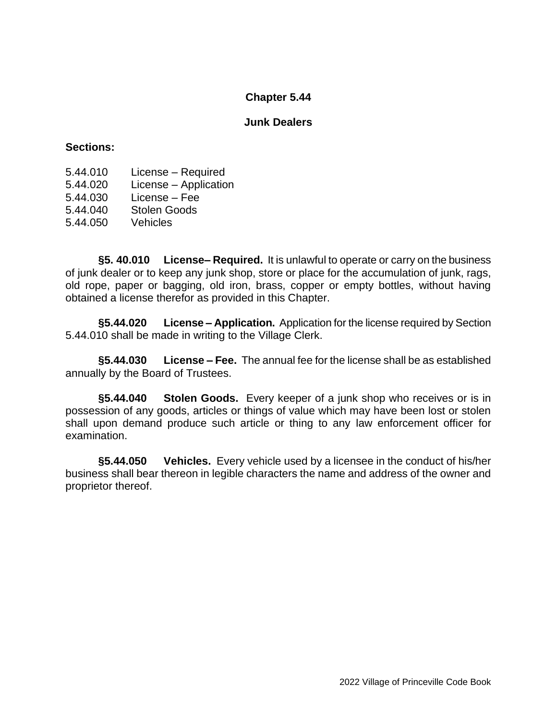### **Junk Dealers**

#### **Sections:**

- 5.44.010 License Required
- 5.44.020 License Application
- 5.44.030 License Fee

5.44.040 Stolen Goods

5.44.050 Vehicles

**§5. 40.010 License– Required.** It is unlawful to operate or carry on the business of junk dealer or to keep any junk shop, store or place for the accumulation of junk, rags, old rope, paper or bagging, old iron, brass, copper or empty bottles, without having obtained a license therefor as provided in this Chapter.

**§5.44.020 License – Application.** Application for the license required by Section 5.44.010 shall be made in writing to the Village Clerk.

**§5.44.030 License – Fee.** The annual fee for the license shall be as established annually by the Board of Trustees.

**§5.44.040 Stolen Goods.** Every keeper of a junk shop who receives or is in possession of any goods, articles or things of value which may have been lost or stolen shall upon demand produce such article or thing to any law enforcement officer for examination.

**§5.44.050 Vehicles.** Every vehicle used by a licensee in the conduct of his/her business shall bear thereon in legible characters the name and address of the owner and proprietor thereof.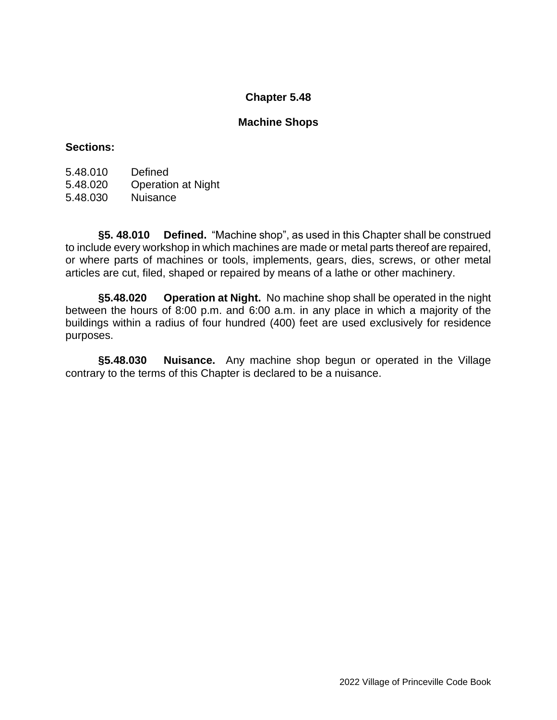### **Machine Shops**

### **Sections:**

| 5.48.010 | Defined                   |
|----------|---------------------------|
| 5.48.020 | <b>Operation at Night</b> |
| 5.48.030 | <b>Nuisance</b>           |

**§5. 48.010 Defined.** "Machine shop", as used in this Chapter shall be construed to include every workshop in which machines are made or metal parts thereof are repaired, or where parts of machines or tools, implements, gears, dies, screws, or other metal articles are cut, filed, shaped or repaired by means of a lathe or other machinery.

**§5.48.020 Operation at Night.** No machine shop shall be operated in the night between the hours of 8:00 p.m. and 6:00 a.m. in any place in which a majority of the buildings within a radius of four hundred (400) feet are used exclusively for residence purposes.

**§5.48.030 Nuisance.** Any machine shop begun or operated in the Village contrary to the terms of this Chapter is declared to be a nuisance.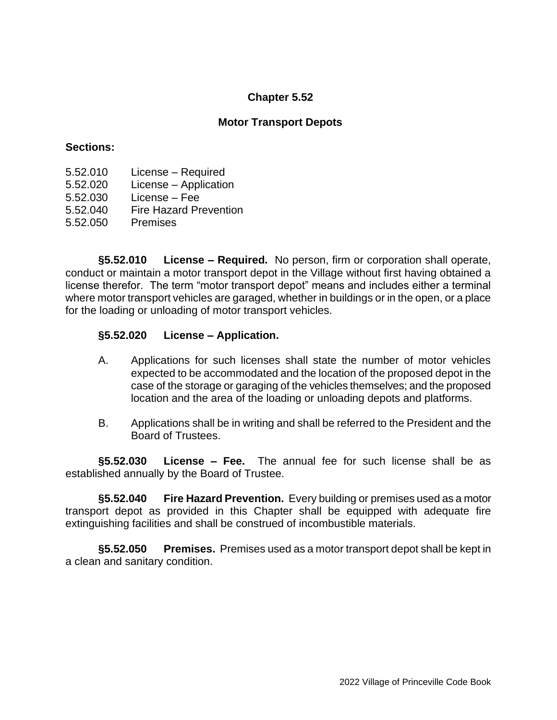### **Motor Transport Depots**

#### **Sections:**

- 5.52.010 License Required
- 5.52.020 License Application
- 5.52.030 License Fee
- 5.52.040 Fire Hazard Prevention
- 5.52.050 Premises

**§5.52.010 License – Required.** No person, firm or corporation shall operate, conduct or maintain a motor transport depot in the Village without first having obtained a license therefor. The term "motor transport depot" means and includes either a terminal where motor transport vehicles are garaged, whether in buildings or in the open, or a place for the loading or unloading of motor transport vehicles.

### **§5.52.020 License – Application.**

- A. Applications for such licenses shall state the number of motor vehicles expected to be accommodated and the location of the proposed depot in the case of the storage or garaging of the vehicles themselves; and the proposed location and the area of the loading or unloading depots and platforms.
- B. Applications shall be in writing and shall be referred to the President and the Board of Trustees.

**§5.52.030 License – Fee.** The annual fee for such license shall be as established annually by the Board of Trustee.

**§5.52.040 Fire Hazard Prevention.** Every building or premises used as a motor transport depot as provided in this Chapter shall be equipped with adequate fire extinguishing facilities and shall be construed of incombustible materials.

**§5.52.050 Premises.** Premises used as a motor transport depot shall be kept in a clean and sanitary condition.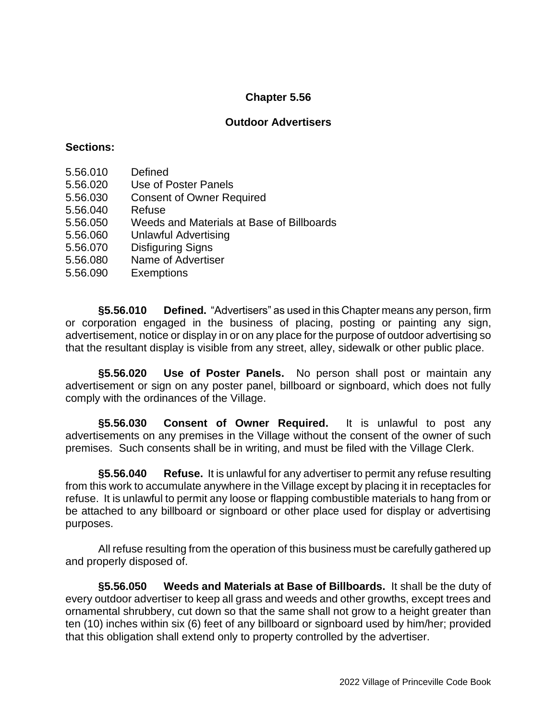## **Outdoor Advertisers**

### **Sections:**

- 5.56.010 Defined
- 5.56.020 Use of Poster Panels
- 5.56.030 Consent of Owner Required
- 5.56.040 Refuse
- 5.56.050 Weeds and Materials at Base of Billboards
- 5.56.060 Unlawful Advertising
- 5.56.070 Disfiguring Signs
- 5.56.080 Name of Advertiser
- 5.56.090 Exemptions

**§5.56.010 Defined.** "Advertisers" as used in this Chapter means any person, firm or corporation engaged in the business of placing, posting or painting any sign, advertisement, notice or display in or on any place for the purpose of outdoor advertising so that the resultant display is visible from any street, alley, sidewalk or other public place.

**§5.56.020 Use of Poster Panels.** No person shall post or maintain any advertisement or sign on any poster panel, billboard or signboard, which does not fully comply with the ordinances of the Village.

**§5.56.030 Consent of Owner Required.** It is unlawful to post any advertisements on any premises in the Village without the consent of the owner of such premises. Such consents shall be in writing, and must be filed with the Village Clerk.

**§5.56.040 Refuse.** It is unlawful for any advertiser to permit any refuse resulting from this work to accumulate anywhere in the Village except by placing it in receptacles for refuse. It is unlawful to permit any loose or flapping combustible materials to hang from or be attached to any billboard or signboard or other place used for display or advertising purposes.

All refuse resulting from the operation of this business must be carefully gathered up and properly disposed of.

**§5.56.050 Weeds and Materials at Base of Billboards.** It shall be the duty of every outdoor advertiser to keep all grass and weeds and other growths, except trees and ornamental shrubbery, cut down so that the same shall not grow to a height greater than ten (10) inches within six (6) feet of any billboard or signboard used by him/her; provided that this obligation shall extend only to property controlled by the advertiser.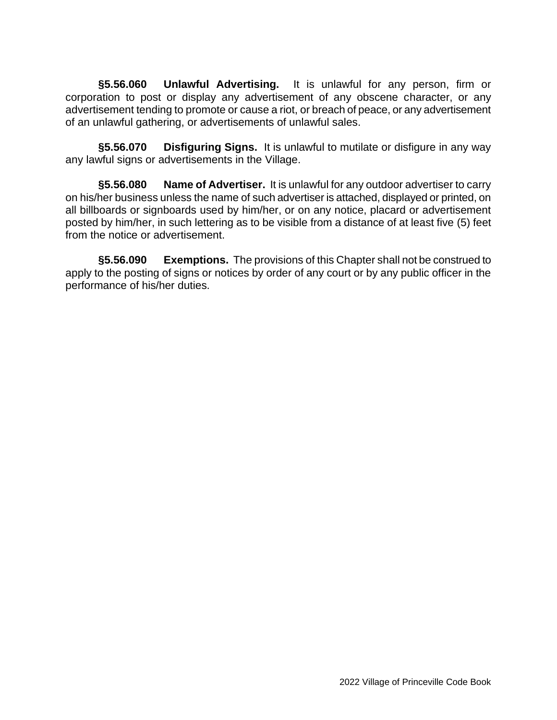**§5.56.060 Unlawful Advertising.** It is unlawful for any person, firm or corporation to post or display any advertisement of any obscene character, or any advertisement tending to promote or cause a riot, or breach of peace, or any advertisement of an unlawful gathering, or advertisements of unlawful sales.

**§5.56.070 Disfiguring Signs.** It is unlawful to mutilate or disfigure in any way any lawful signs or advertisements in the Village.

**§5.56.080 Name of Advertiser.** It is unlawful for any outdoor advertiser to carry on his/her business unless the name of such advertiser is attached, displayed or printed, on all billboards or signboards used by him/her, or on any notice, placard or advertisement posted by him/her, in such lettering as to be visible from a distance of at least five (5) feet from the notice or advertisement.

**§5.56.090 Exemptions.** The provisions of this Chapter shall not be construed to apply to the posting of signs or notices by order of any court or by any public officer in the performance of his/her duties.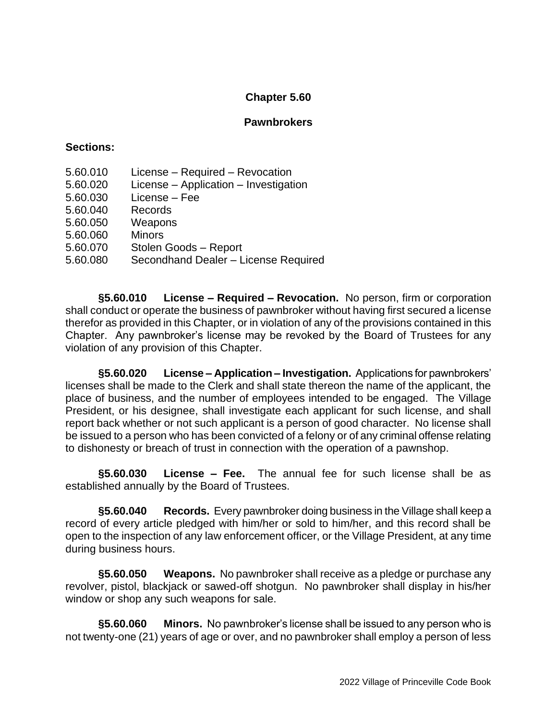### **Pawnbrokers**

#### **Sections:**

- 5.60.010 License Required Revocation
- 5.60.020 License Application Investigation
- 5.60.030 License Fee
- 5.60.040 Records
- 5.60.050 Weapons
- 5.60.060 Minors
- 5.60.070 Stolen Goods Report
- 5.60.080 Secondhand Dealer License Required

**§5.60.010 License – Required – Revocation.** No person, firm or corporation shall conduct or operate the business of pawnbroker without having first secured a license therefor as provided in this Chapter, or in violation of any of the provisions contained in this Chapter. Any pawnbroker's license may be revoked by the Board of Trustees for any violation of any provision of this Chapter.

**§5.60.020 License – Application – Investigation.** Applications for pawnbrokers' licenses shall be made to the Clerk and shall state thereon the name of the applicant, the place of business, and the number of employees intended to be engaged. The Village President, or his designee, shall investigate each applicant for such license, and shall report back whether or not such applicant is a person of good character. No license shall be issued to a person who has been convicted of a felony or of any criminal offense relating to dishonesty or breach of trust in connection with the operation of a pawnshop.

**§5.60.030 License – Fee.** The annual fee for such license shall be as established annually by the Board of Trustees.

**§5.60.040 Records.** Every pawnbroker doing business in the Village shall keep a record of every article pledged with him/her or sold to him/her, and this record shall be open to the inspection of any law enforcement officer, or the Village President, at any time during business hours.

**§5.60.050 Weapons.** No pawnbroker shall receive as a pledge or purchase any revolver, pistol, blackjack or sawed-off shotgun. No pawnbroker shall display in his/her window or shop any such weapons for sale.

**§5.60.060 Minors.** No pawnbroker's license shall be issued to any person who is not twenty-one (21) years of age or over, and no pawnbroker shall employ a person of less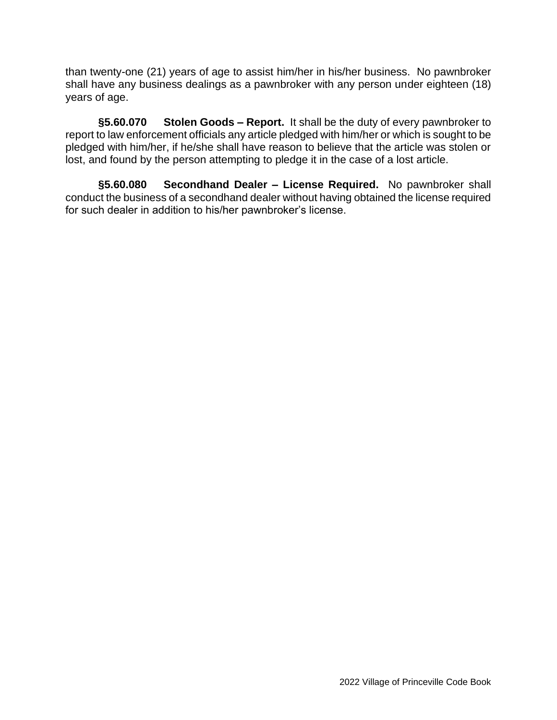than twenty-one (21) years of age to assist him/her in his/her business. No pawnbroker shall have any business dealings as a pawnbroker with any person under eighteen (18) years of age.

**§5.60.070 Stolen Goods – Report.** It shall be the duty of every pawnbroker to report to law enforcement officials any article pledged with him/her or which is sought to be pledged with him/her, if he/she shall have reason to believe that the article was stolen or lost, and found by the person attempting to pledge it in the case of a lost article.

**§5.60.080 Secondhand Dealer – License Required.** No pawnbroker shall conduct the business of a secondhand dealer without having obtained the license required for such dealer in addition to his/her pawnbroker's license.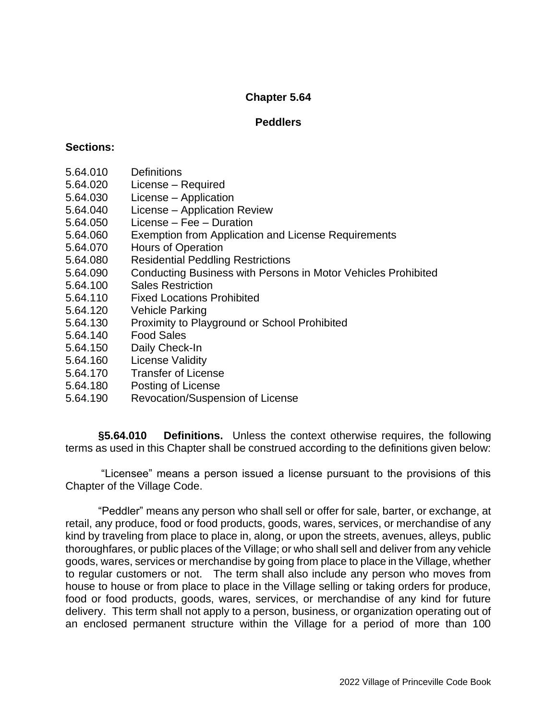### **Peddlers**

#### **Sections:**

- 5.64.010 Definitions
- 5.64.020 License Required
- 5.64.030 License Application
- 5.64.040 License Application Review
- 5.64.050 License Fee Duration
- 5.64.060 Exemption from Application and License Requirements
- 5.64.070 Hours of Operation
- 5.64.080 Residential Peddling Restrictions
- 5.64.090 Conducting Business with Persons in Motor Vehicles Prohibited
- 5.64.100 Sales Restriction
- 5.64.110 Fixed Locations Prohibited
- 5.64.120 Vehicle Parking
- 5.64.130 Proximity to Playground or School Prohibited
- 5.64.140 Food Sales
- 5.64.150 Daily Check-In
- 5.64.160 License Validity
- 5.64.170 Transfer of License
- 5.64.180 Posting of License
- 5.64.190 Revocation/Suspension of License

**§5.64.010 Definitions.** Unless the context otherwise requires, the following terms as used in this Chapter shall be construed according to the definitions given below:

"Licensee" means a person issued a license pursuant to the provisions of this Chapter of the Village Code.

"Peddler" means any person who shall sell or offer for sale, barter, or exchange, at retail, any produce, food or food products, goods, wares, services, or merchandise of any kind by traveling from place to place in, along, or upon the streets, avenues, alleys, public thoroughfares, or public places of the Village; or who shall sell and deliver from any vehicle goods, wares, services or merchandise by going from place to place in the Village, whether to regular customers or not. The term shall also include any person who moves from house to house or from place to place in the Village selling or taking orders for produce, food or food products, goods, wares, services, or merchandise of any kind for future delivery. This term shall not apply to a person, business, or organization operating out of an enclosed permanent structure within the Village for a period of more than 100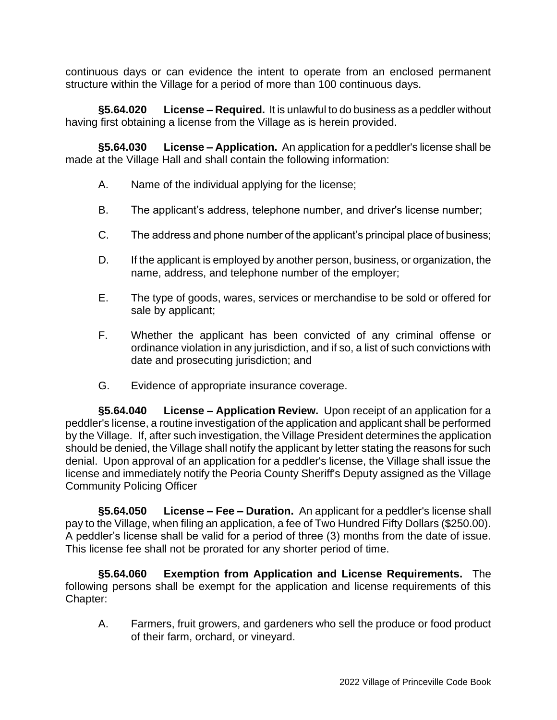continuous days or can evidence the intent to operate from an enclosed permanent structure within the Village for a period of more than 100 continuous days.

**§5.64.020 License – Required.** It is unlawful to do business as a peddler without having first obtaining a license from the Village as is herein provided.

**§5.64.030 License – Application.** An application for a peddler's license shall be made at the Village Hall and shall contain the following information:

- A. Name of the individual applying for the license;
- B. The applicant's address, telephone number, and driver's license number;
- C. The address and phone number of the applicant's principal place of business;
- D. If the applicant is employed by another person, business, or organization, the name, address, and telephone number of the employer;
- E. The type of goods, wares, services or merchandise to be sold or offered for sale by applicant;
- F. Whether the applicant has been convicted of any criminal offense or ordinance violation in any jurisdiction, and if so, a list of such convictions with date and prosecuting jurisdiction; and
- G. Evidence of appropriate insurance coverage.

**§5.64.040 License – Application Review.** Upon receipt of an application for a peddler's license, a routine investigation of the application and applicant shall be performed by the Village. If, after such investigation, the Village President determines the application should be denied, the Village shall notify the applicant by letter stating the reasons for such denial. Upon approval of an application for a peddler's license, the Village shall issue the license and immediately notify the Peoria County Sheriff's Deputy assigned as the Village Community Policing Officer

**§5.64.050 License – Fee – Duration.** An applicant for a peddler's license shall pay to the Village, when filing an application, a fee of Two Hundred Fifty Dollars (\$250.00). A peddler's license shall be valid for a period of three (3) months from the date of issue. This license fee shall not be prorated for any shorter period of time.

**§5.64.060 Exemption from Application and License Requirements.** The following persons shall be exempt for the application and license requirements of this Chapter:

A. Farmers, fruit growers, and gardeners who sell the produce or food product of their farm, orchard, or vineyard.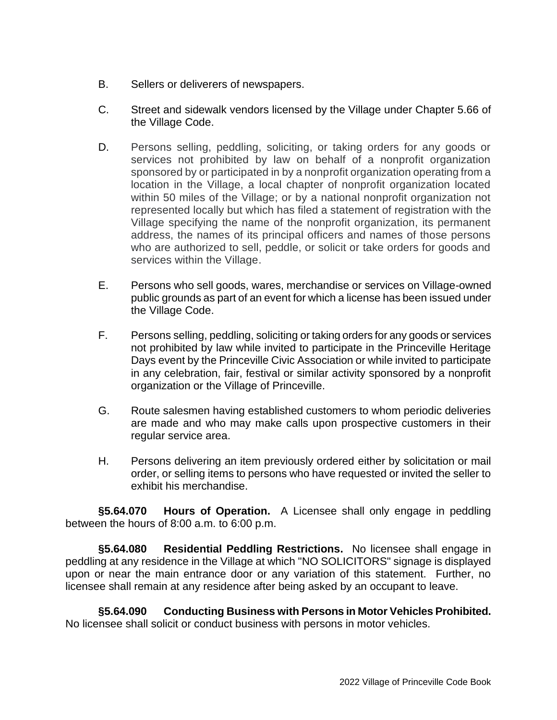- B. Sellers or deliverers of newspapers.
- C. Street and sidewalk vendors licensed by the Village under Chapter 5.66 of the Village Code.
- D. Persons selling, peddling, soliciting, or taking orders for any goods or services not prohibited by law on behalf of a nonprofit organization sponsored by or participated in by a nonprofit organization operating from a location in the Village, a local chapter of nonprofit organization located within 50 miles of the Village; or by a national nonprofit organization not represented locally but which has filed a statement of registration with the Village specifying the name of the nonprofit organization, its permanent address, the names of its principal officers and names of those persons who are authorized to sell, peddle, or solicit or take orders for goods and services within the Village.
- E. Persons who sell goods, wares, merchandise or services on Village-owned public grounds as part of an event for which a license has been issued under the Village Code.
- F. Persons selling, peddling, soliciting or taking orders for any goods or services not prohibited by law while invited to participate in the Princeville Heritage Days event by the Princeville Civic Association or while invited to participate in any celebration, fair, festival or similar activity sponsored by a nonprofit organization or the Village of Princeville.
- G. Route salesmen having established customers to whom periodic deliveries are made and who may make calls upon prospective customers in their regular service area.
- H. Persons delivering an item previously ordered either by solicitation or mail order, or selling items to persons who have requested or invited the seller to exhibit his merchandise.

**§5.64.070 Hours of Operation.** A Licensee shall only engage in peddling between the hours of 8:00 a.m. to 6:00 p.m.

**§5.64.080 Residential Peddling Restrictions.** No licensee shall engage in peddling at any residence in the Village at which "NO SOLICITORS" signage is displayed upon or near the main entrance door or any variation of this statement. Further, no licensee shall remain at any residence after being asked by an occupant to leave.

**§5.64.090 Conducting Business with Persons in Motor Vehicles Prohibited.** No licensee shall solicit or conduct business with persons in motor vehicles.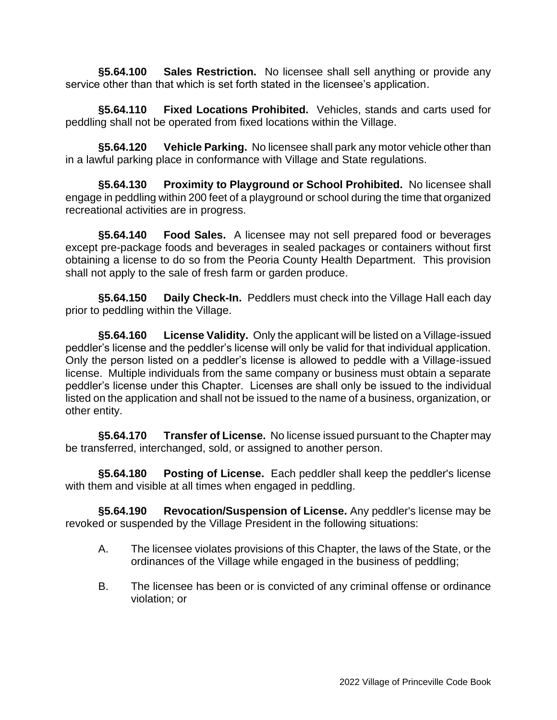**§5.64.100 Sales Restriction.** No licensee shall sell anything or provide any service other than that which is set forth stated in the licensee's application.

**§5.64.110 Fixed Locations Prohibited.** Vehicles, stands and carts used for peddling shall not be operated from fixed locations within the Village.

**§5.64.120 Vehicle Parking.** No licensee shall park any motor vehicle other than in a lawful parking place in conformance with Village and State regulations.

**§5.64.130 Proximity to Playground or School Prohibited.** No licensee shall engage in peddling within 200 feet of a playground or school during the time that organized recreational activities are in progress.

**§5.64.140 Food Sales.** A licensee may not sell prepared food or beverages except pre-package foods and beverages in sealed packages or containers without first obtaining a license to do so from the Peoria County Health Department. This provision shall not apply to the sale of fresh farm or garden produce.

**§5.64.150 Daily Check-In.** Peddlers must check into the Village Hall each day prior to peddling within the Village.

**§5.64.160 License Validity.** Only the applicant will be listed on a Village-issued peddler's license and the peddler's license will only be valid for that individual application. Only the person listed on a peddler's license is allowed to peddle with a Village-issued license. Multiple individuals from the same company or business must obtain a separate peddler's license under this Chapter. Licenses are shall only be issued to the individual listed on the application and shall not be issued to the name of a business, organization, or other entity.

**§5.64.170 Transfer of License.** No license issued pursuant to the Chapter may be transferred, interchanged, sold, or assigned to another person.

**§5.64.180 Posting of License.** Each peddler shall keep the peddler's license with them and visible at all times when engaged in peddling.

**§5.64.190 Revocation/Suspension of License.** Any peddler's license may be revoked or suspended by the Village President in the following situations:

- A. The licensee violates provisions of this Chapter, the laws of the State, or the ordinances of the Village while engaged in the business of peddling;
- B. The licensee has been or is convicted of any criminal offense or ordinance violation; or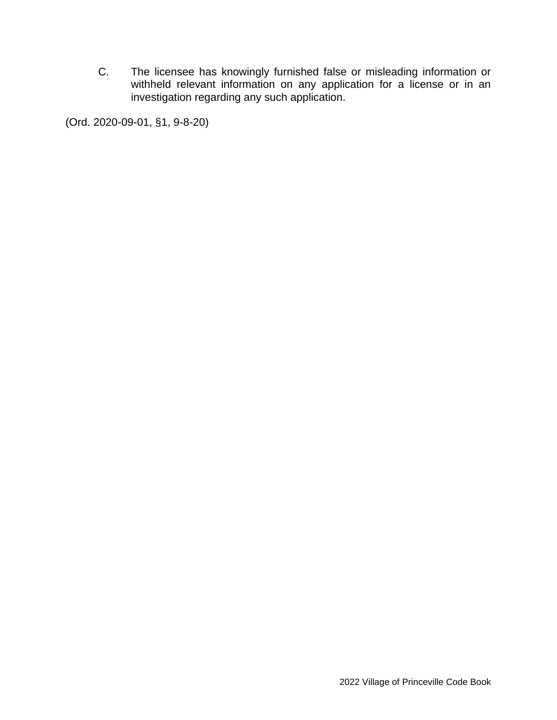C. The licensee has knowingly furnished false or misleading information or withheld relevant information on any application for a license or in an investigation regarding any such application.

(Ord. 2020-09-01, §1, 9-8-20)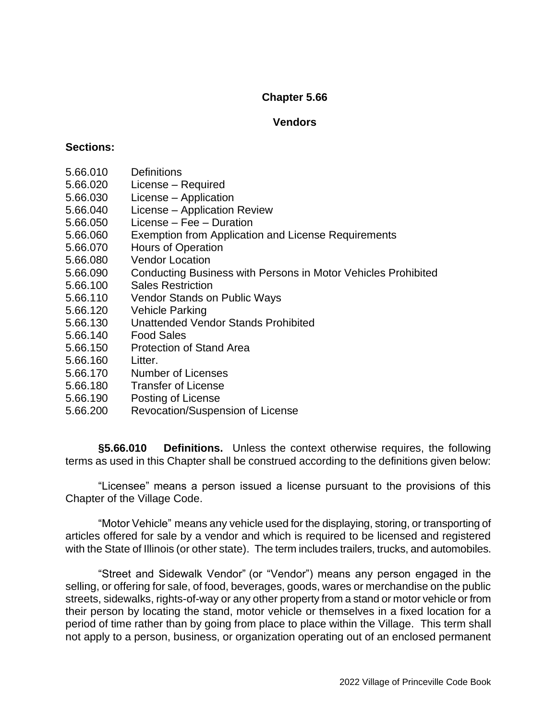### **Vendors**

#### **Sections:**

- 5.66.010 Definitions
- 5.66.020 License Required
- 5.66.030 License Application
- 5.66.040 License Application Review
- 5.66.050 License Fee Duration
- 5.66.060 Exemption from Application and License Requirements
- 5.66.070 Hours of Operation
- 5.66.080 Vendor Location
- 5.66.090 Conducting Business with Persons in Motor Vehicles Prohibited
- 5.66.100 Sales Restriction
- 5.66.110 Vendor Stands on Public Ways
- 5.66.120 Vehicle Parking
- 5.66.130 Unattended Vendor Stands Prohibited
- 5.66.140 Food Sales
- 5.66.150 Protection of Stand Area
- 5.66.160 Litter.
- 5.66.170 Number of Licenses
- 5.66.180 Transfer of License
- 5.66.190 Posting of License
- 5.66.200 Revocation/Suspension of License

**§5.66.010 Definitions.** Unless the context otherwise requires, the following terms as used in this Chapter shall be construed according to the definitions given below:

"Licensee" means a person issued a license pursuant to the provisions of this Chapter of the Village Code.

"Motor Vehicle" means any vehicle used for the displaying, storing, or transporting of articles offered for sale by a vendor and which is required to be licensed and registered with the State of Illinois (or other state). The term includes trailers, trucks, and automobiles.

"Street and Sidewalk Vendor" (or "Vendor") means any person engaged in the selling, or offering for sale, of food, beverages, goods, wares or merchandise on the public streets, sidewalks, rights-of-way or any other property from a stand or motor vehicle or from their person by locating the stand, motor vehicle or themselves in a fixed location for a period of time rather than by going from place to place within the Village. This term shall not apply to a person, business, or organization operating out of an enclosed permanent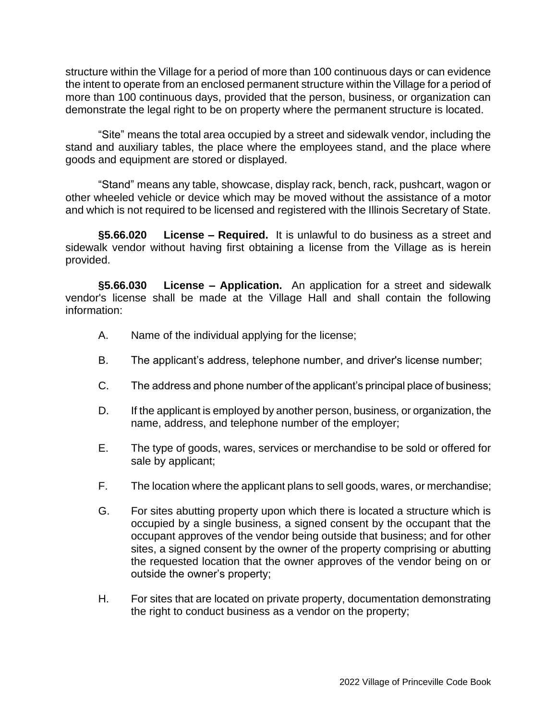structure within the Village for a period of more than 100 continuous days or can evidence the intent to operate from an enclosed permanent structure within the Village for a period of more than 100 continuous days, provided that the person, business, or organization can demonstrate the legal right to be on property where the permanent structure is located.

"Site" means the total area occupied by a street and sidewalk vendor, including the stand and auxiliary tables, the place where the employees stand, and the place where goods and equipment are stored or displayed.

"Stand" means any table, showcase, display rack, bench, rack, pushcart, wagon or other wheeled vehicle or device which may be moved without the assistance of a motor and which is not required to be licensed and registered with the Illinois Secretary of State.

**§5.66.020 License – Required.** It is unlawful to do business as a street and sidewalk vendor without having first obtaining a license from the Village as is herein provided.

**§5.66.030 License – Application.** An application for a street and sidewalk vendor's license shall be made at the Village Hall and shall contain the following information:

- A. Name of the individual applying for the license;
- B. The applicant's address, telephone number, and driver's license number;
- C. The address and phone number of the applicant's principal place of business;
- D. If the applicant is employed by another person, business, or organization, the name, address, and telephone number of the employer;
- E. The type of goods, wares, services or merchandise to be sold or offered for sale by applicant;
- F. The location where the applicant plans to sell goods, wares, or merchandise;
- G. For sites abutting property upon which there is located a structure which is occupied by a single business, a signed consent by the occupant that the occupant approves of the vendor being outside that business; and for other sites, a signed consent by the owner of the property comprising or abutting the requested location that the owner approves of the vendor being on or outside the owner's property;
- H. For sites that are located on private property, documentation demonstrating the right to conduct business as a vendor on the property;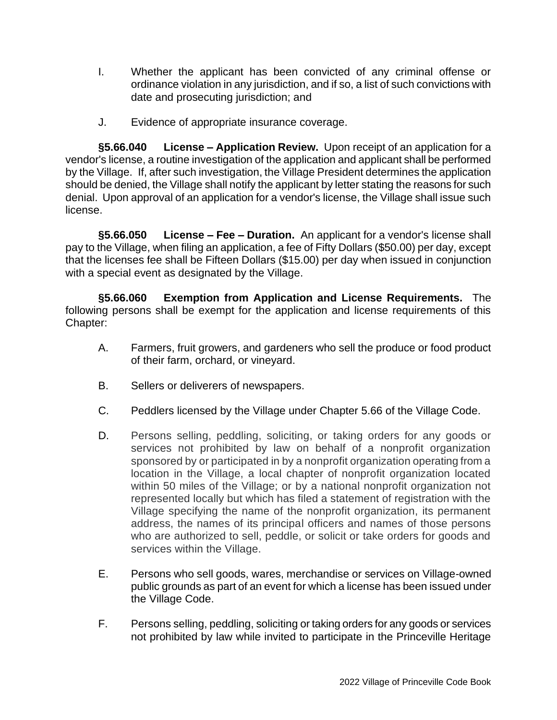- I. Whether the applicant has been convicted of any criminal offense or ordinance violation in any jurisdiction, and if so, a list of such convictions with date and prosecuting jurisdiction; and
- J. Evidence of appropriate insurance coverage.

**§5.66.040 License – Application Review.** Upon receipt of an application for a vendor's license, a routine investigation of the application and applicant shall be performed by the Village. If, after such investigation, the Village President determines the application should be denied, the Village shall notify the applicant by letter stating the reasons for such denial. Upon approval of an application for a vendor's license, the Village shall issue such license.

**§5.66.050 License – Fee – Duration.** An applicant for a vendor's license shall pay to the Village, when filing an application, a fee of Fifty Dollars (\$50.00) per day, except that the licenses fee shall be Fifteen Dollars (\$15.00) per day when issued in conjunction with a special event as designated by the Village.

**§5.66.060 Exemption from Application and License Requirements.** The following persons shall be exempt for the application and license requirements of this Chapter:

- A. Farmers, fruit growers, and gardeners who sell the produce or food product of their farm, orchard, or vineyard.
- B. Sellers or deliverers of newspapers.
- C. Peddlers licensed by the Village under Chapter 5.66 of the Village Code.
- D. Persons selling, peddling, soliciting, or taking orders for any goods or services not prohibited by law on behalf of a nonprofit organization sponsored by or participated in by a nonprofit organization operating from a location in the Village, a local chapter of nonprofit organization located within 50 miles of the Village; or by a national nonprofit organization not represented locally but which has filed a statement of registration with the Village specifying the name of the nonprofit organization, its permanent address, the names of its principal officers and names of those persons who are authorized to sell, peddle, or solicit or take orders for goods and services within the Village.
- E. Persons who sell goods, wares, merchandise or services on Village-owned public grounds as part of an event for which a license has been issued under the Village Code.
- F. Persons selling, peddling, soliciting or taking orders for any goods or services not prohibited by law while invited to participate in the Princeville Heritage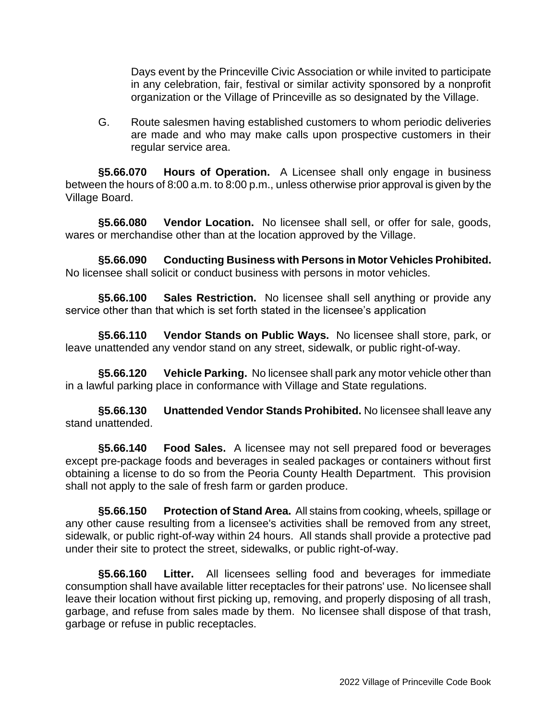Days event by the Princeville Civic Association or while invited to participate in any celebration, fair, festival or similar activity sponsored by a nonprofit organization or the Village of Princeville as so designated by the Village.

G. Route salesmen having established customers to whom periodic deliveries are made and who may make calls upon prospective customers in their regular service area.

**§5.66.070 Hours of Operation.** A Licensee shall only engage in business between the hours of 8:00 a.m. to 8:00 p.m., unless otherwise prior approval is given by the Village Board.

**§5.66.080 Vendor Location.** No licensee shall sell, or offer for sale, goods, wares or merchandise other than at the location approved by the Village.

**§5.66.090 Conducting Business with Persons in Motor Vehicles Prohibited.** No licensee shall solicit or conduct business with persons in motor vehicles.

**§5.66.100 Sales Restriction.** No licensee shall sell anything or provide any service other than that which is set forth stated in the licensee's application

**§5.66.110 Vendor Stands on Public Ways.** No licensee shall store, park, or leave unattended any vendor stand on any street, sidewalk, or public right-of-way.

**§5.66.120 Vehicle Parking.** No licensee shall park any motor vehicle other than in a lawful parking place in conformance with Village and State regulations.

**§5.66.130 Unattended Vendor Stands Prohibited.** No licensee shall leave any stand unattended.

**§5.66.140 Food Sales.** A licensee may not sell prepared food or beverages except pre-package foods and beverages in sealed packages or containers without first obtaining a license to do so from the Peoria County Health Department. This provision shall not apply to the sale of fresh farm or garden produce.

**§5.66.150 Protection of Stand Area.** All stains from cooking, wheels, spillage or any other cause resulting from a licensee's activities shall be removed from any street, sidewalk, or public right-of-way within 24 hours. All stands shall provide a protective pad under their site to protect the street, sidewalks, or public right-of-way.

**§5.66.160 Litter.** All licensees selling food and beverages for immediate consumption shall have available litter receptacles for their patrons' use. No licensee shall leave their location without first picking up, removing, and properly disposing of all trash, garbage, and refuse from sales made by them. No licensee shall dispose of that trash, garbage or refuse in public receptacles.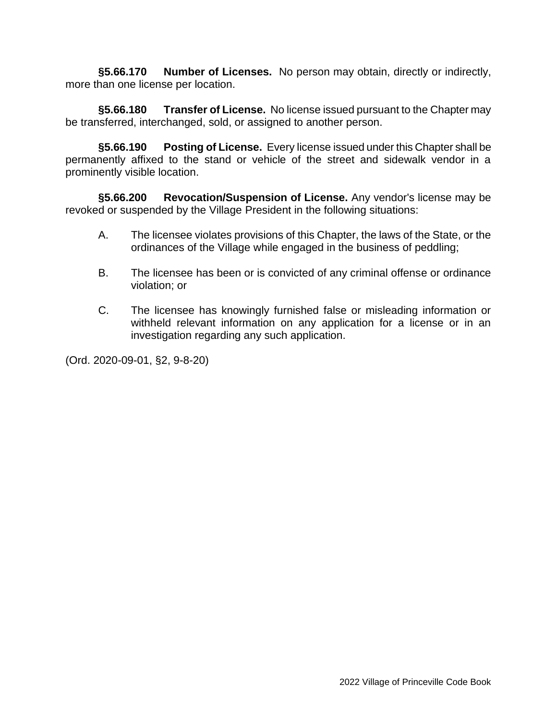§5.66.170 **Number of Licenses.** No person may obtain, directly or indirectly, more than one license per location.

**§5.66.180 Transfer of License.** No license issued pursuant to the Chapter may be transferred, interchanged, sold, or assigned to another person.

**§5.66.190 Posting of License.** Every license issued under this Chapter shall be permanently affixed to the stand or vehicle of the street and sidewalk vendor in a prominently visible location.

**§5.66.200 Revocation/Suspension of License.** Any vendor's license may be revoked or suspended by the Village President in the following situations:

- A. The licensee violates provisions of this Chapter, the laws of the State, or the ordinances of the Village while engaged in the business of peddling;
- B. The licensee has been or is convicted of any criminal offense or ordinance violation; or
- C. The licensee has knowingly furnished false or misleading information or withheld relevant information on any application for a license or in an investigation regarding any such application.

(Ord. 2020-09-01, §2, 9-8-20)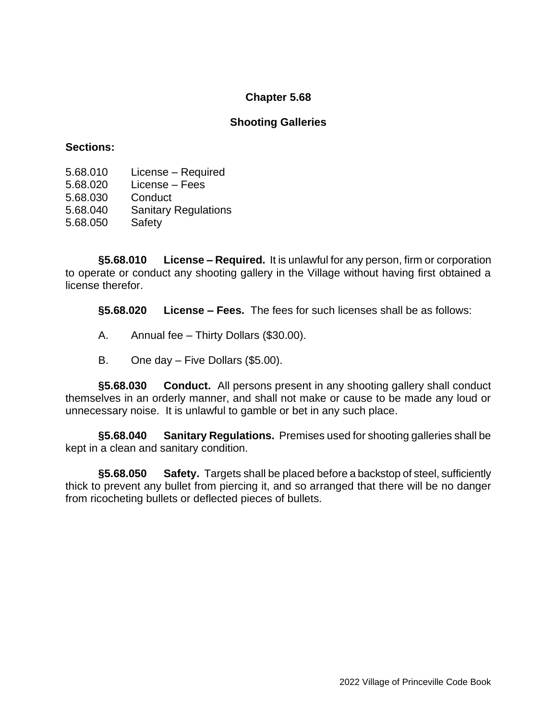### **Shooting Galleries**

#### **Sections:**

- 5.68.010 License Required
- 5.68.020 License Fees
- 5.68.030 Conduct
- 5.68.040 Sanitary Regulations
- 5.68.050 Safety

**§5.68.010 License – Required.** It is unlawful for any person, firm or corporation to operate or conduct any shooting gallery in the Village without having first obtained a license therefor.

**§5.68.020 License – Fees.** The fees for such licenses shall be as follows:

- A. Annual fee Thirty Dollars (\$30.00).
- B. One day Five Dollars (\$5.00).

**§5.68.030 Conduct.** All persons present in any shooting gallery shall conduct themselves in an orderly manner, and shall not make or cause to be made any loud or unnecessary noise. It is unlawful to gamble or bet in any such place.

**§5.68.040 Sanitary Regulations.** Premises used for shooting galleries shall be kept in a clean and sanitary condition.

**§5.68.050 Safety.** Targets shall be placed before a backstop of steel, sufficiently thick to prevent any bullet from piercing it, and so arranged that there will be no danger from ricocheting bullets or deflected pieces of bullets.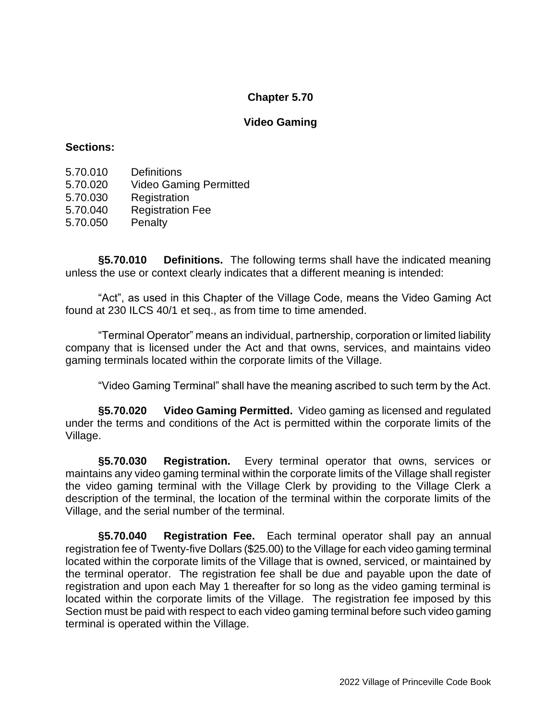### **Video Gaming**

### **Sections:**

- 5.70.010 Definitions 5.70.020 Video Gaming Permitted
- 5.70.030 Registration
- 5.70.040 Registration Fee
- 5.70.050 Penalty

**§5.70.010 Definitions.** The following terms shall have the indicated meaning unless the use or context clearly indicates that a different meaning is intended:

"Act", as used in this Chapter of the Village Code, means the Video Gaming Act found at 230 ILCS 40/1 et seq., as from time to time amended.

"Terminal Operator" means an individual, partnership, corporation or limited liability company that is licensed under the Act and that owns, services, and maintains video gaming terminals located within the corporate limits of the Village.

"Video Gaming Terminal" shall have the meaning ascribed to such term by the Act.

**§5.70.020 Video Gaming Permitted.** Video gaming as licensed and regulated under the terms and conditions of the Act is permitted within the corporate limits of the Village.

**§5.70.030 Registration.** Every terminal operator that owns, services or maintains any video gaming terminal within the corporate limits of the Village shall register the video gaming terminal with the Village Clerk by providing to the Village Clerk a description of the terminal, the location of the terminal within the corporate limits of the Village, and the serial number of the terminal.

**§5.70.040 Registration Fee.** Each terminal operator shall pay an annual registration fee of Twenty-five Dollars (\$25.00) to the Village for each video gaming terminal located within the corporate limits of the Village that is owned, serviced, or maintained by the terminal operator. The registration fee shall be due and payable upon the date of registration and upon each May 1 thereafter for so long as the video gaming terminal is located within the corporate limits of the Village. The registration fee imposed by this Section must be paid with respect to each video gaming terminal before such video gaming terminal is operated within the Village.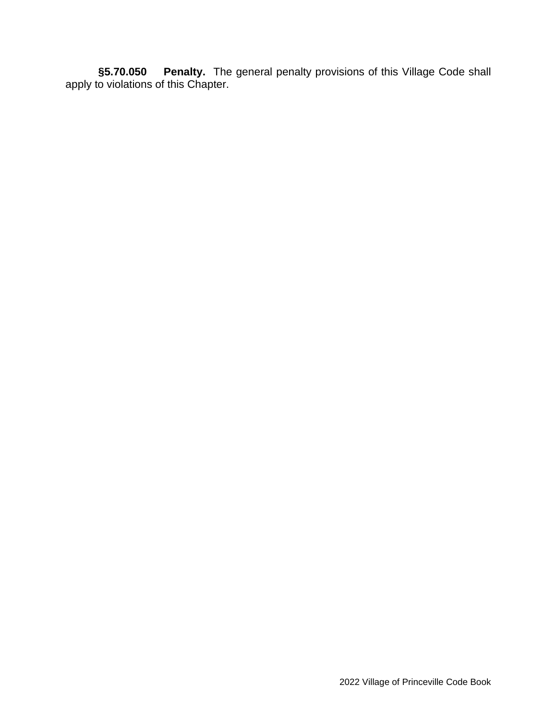**§5.70.050 Penalty.** The general penalty provisions of this Village Code shall apply to violations of this Chapter.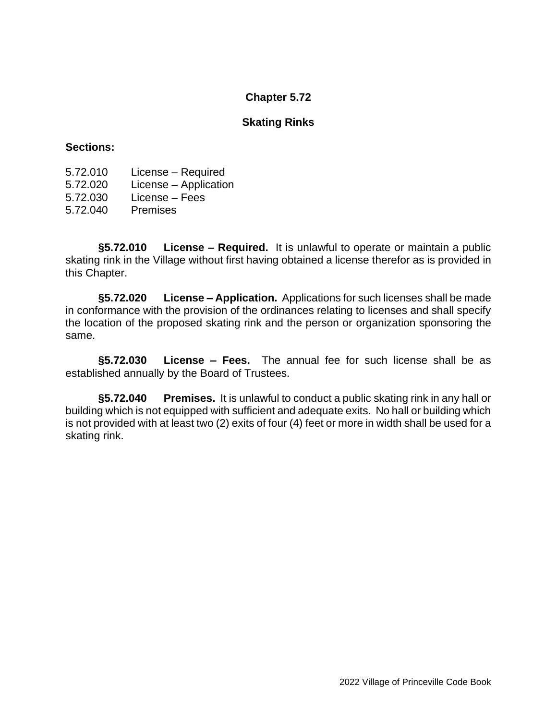### **Skating Rinks**

#### **Sections:**

- 5.72.010 License Required
- 5.72.020 License Application
- 5.72.030 License Fees
- 5.72.040 Premises

**§5.72.010 License – Required.** It is unlawful to operate or maintain a public skating rink in the Village without first having obtained a license therefor as is provided in this Chapter.

**§5.72.020 License – Application.** Applications for such licenses shall be made in conformance with the provision of the ordinances relating to licenses and shall specify the location of the proposed skating rink and the person or organization sponsoring the same.

**§5.72.030 License – Fees.** The annual fee for such license shall be as established annually by the Board of Trustees.

**§5.72.040 Premises.** It is unlawful to conduct a public skating rink in any hall or building which is not equipped with sufficient and adequate exits. No hall or building which is not provided with at least two (2) exits of four (4) feet or more in width shall be used for a skating rink.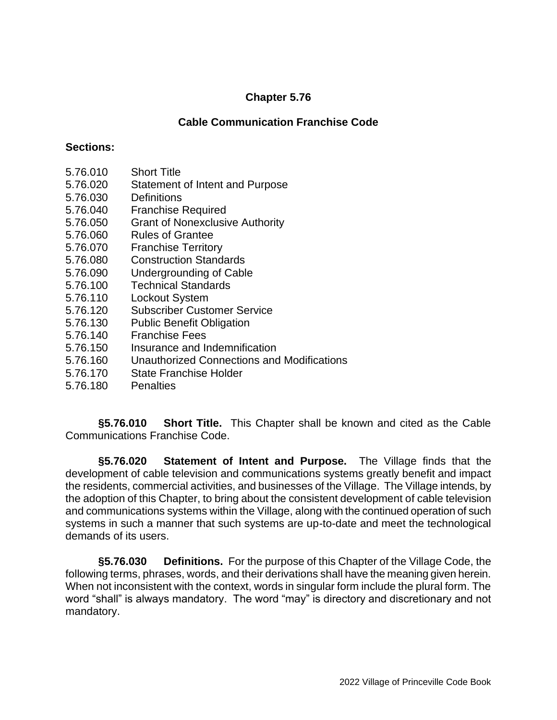## **Cable Communication Franchise Code**

### **Sections:**

- 5.76.010 Short Title
- 5.76.020 Statement of Intent and Purpose
- 5.76.030 Definitions
- 5.76.040 Franchise Required
- 5.76.050 Grant of Nonexclusive Authority
- 5.76.060 Rules of Grantee
- 5.76.070 Franchise Territory
- 5.76.080 Construction Standards
- 5.76.090 Undergrounding of Cable
- 5.76.100 Technical Standards
- 5.76.110 Lockout System
- 5.76.120 Subscriber Customer Service
- 5.76.130 Public Benefit Obligation
- 5.76.140 Franchise Fees
- 5.76.150 Insurance and Indemnification
- 5.76.160 Unauthorized Connections and Modifications
- 5.76.170 State Franchise Holder
- 5.76.180 Penalties

**§5.76.010 Short Title.** This Chapter shall be known and cited as the Cable Communications Franchise Code.

**§5.76.020 Statement of Intent and Purpose.** The Village finds that the development of cable television and communications systems greatly benefit and impact the residents, commercial activities, and businesses of the Village. The Village intends, by the adoption of this Chapter, to bring about the consistent development of cable television and communications systems within the Village, along with the continued operation of such systems in such a manner that such systems are up-to-date and meet the technological demands of its users.

**§5.76.030 Definitions.** For the purpose of this Chapter of the Village Code, the following terms, phrases, words, and their derivations shall have the meaning given herein. When not inconsistent with the context, words in singular form include the plural form. The word "shall" is always mandatory. The word "may" is directory and discretionary and not mandatory.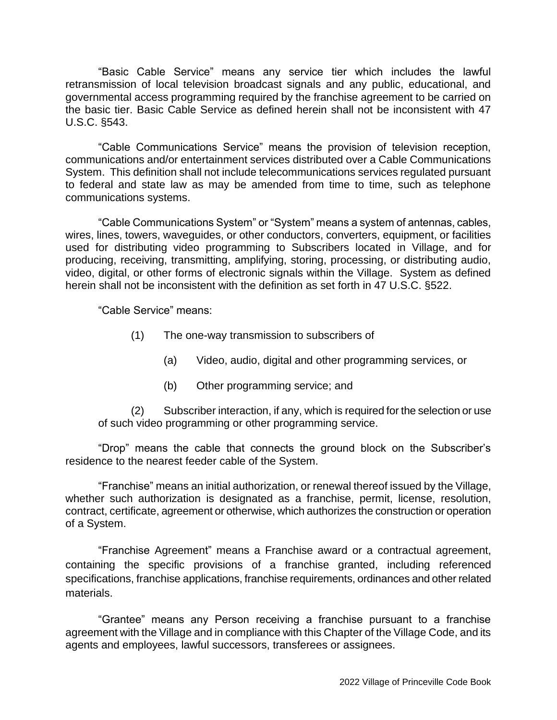"Basic Cable Service" means any service tier which includes the lawful retransmission of local television broadcast signals and any public, educational, and governmental access programming required by the franchise agreement to be carried on the basic tier. Basic Cable Service as defined herein shall not be inconsistent with 47 U.S.C. §543.

"Cable Communications Service" means the provision of television reception, communications and/or entertainment services distributed over a Cable Communications System. This definition shall not include telecommunications services regulated pursuant to federal and state law as may be amended from time to time, such as telephone communications systems.

"Cable Communications System" or "System" means a system of antennas, cables, wires, lines, towers, waveguides, or other conductors, converters, equipment, or facilities used for distributing video programming to Subscribers located in Village, and for producing, receiving, transmitting, amplifying, storing, processing, or distributing audio, video, digital, or other forms of electronic signals within the Village. System as defined herein shall not be inconsistent with the definition as set forth in 47 U.S.C. §522.

"Cable Service" means:

- (1) The one-way transmission to subscribers of
	- (a) Video, audio, digital and other programming services, or
	- (b) Other programming service; and

(2) Subscriber interaction, if any, which is required for the selection or use of such video programming or other programming service.

"Drop" means the cable that connects the ground block on the Subscriber's residence to the nearest feeder cable of the System.

"Franchise" means an initial authorization, or renewal thereof issued by the Village, whether such authorization is designated as a franchise, permit, license, resolution, contract, certificate, agreement or otherwise, which authorizes the construction or operation of a System.

"Franchise Agreement" means a Franchise award or a contractual agreement, containing the specific provisions of a franchise granted, including referenced specifications, franchise applications, franchise requirements, ordinances and other related materials.

"Grantee" means any Person receiving a franchise pursuant to a franchise agreement with the Village and in compliance with this Chapter of the Village Code, and its agents and employees, lawful successors, transferees or assignees.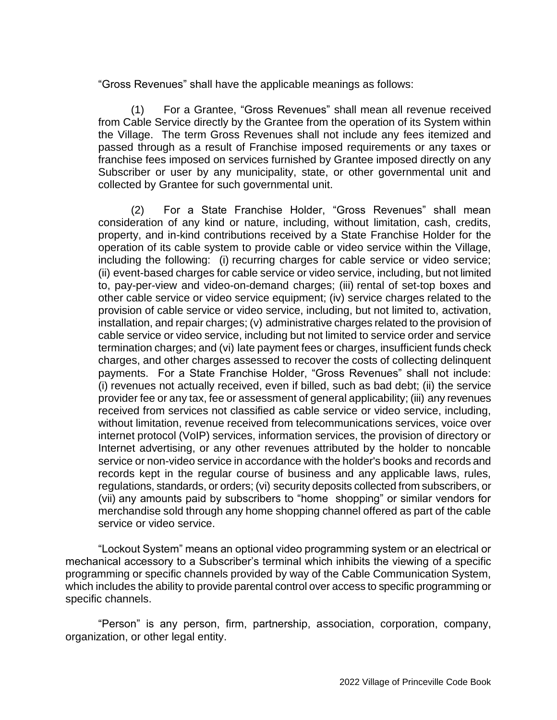"Gross Revenues" shall have the applicable meanings as follows:

(1) For a Grantee, "Gross Revenues" shall mean all revenue received from Cable Service directly by the Grantee from the operation of its System within the Village. The term Gross Revenues shall not include any fees itemized and passed through as a result of Franchise imposed requirements or any taxes or franchise fees imposed on services furnished by Grantee imposed directly on any Subscriber or user by any municipality, state, or other governmental unit and collected by Grantee for such governmental unit.

(2) For a State Franchise Holder, "Gross Revenues" shall mean consideration of any kind or nature, including, without limitation, cash, credits, property, and in-kind contributions received by a State Franchise Holder for the operation of its cable system to provide cable or video service within the Village, including the following: (i) recurring charges for cable service or video service; (ii) event-based charges for cable service or video service, including, but not limited to, pay-per-view and video-on-demand charges; (iii) rental of set-top boxes and other cable service or video service equipment; (iv) service charges related to the provision of cable service or video service, including, but not limited to, activation, installation, and repair charges; (v) administrative charges related to the provision of cable service or video service, including but not limited to service order and service termination charges; and (vi) late payment fees or charges, insufficient funds check charges, and other charges assessed to recover the costs of collecting delinquent payments. For a State Franchise Holder, "Gross Revenues" shall not include: (i) revenues not actually received, even if billed, such as bad debt; (ii) the service provider fee or any tax, fee or assessment of general applicability; (iii) any revenues received from services not classified as cable service or video service, including, without limitation, revenue received from telecommunications services, voice over internet protocol (VoIP) services, information services, the provision of directory or Internet advertising, or any other revenues attributed by the holder to noncable service or non-video service in accordance with the holder's books and records and records kept in the regular course of business and any applicable laws, rules, regulations, standards, or orders; (vi) security deposits collected from subscribers, or (vii) any amounts paid by subscribers to "home shopping" or similar vendors for merchandise sold through any home shopping channel offered as part of the cable service or video service.

"Lockout System" means an optional video programming system or an electrical or mechanical accessory to a Subscriber's terminal which inhibits the viewing of a specific programming or specific channels provided by way of the Cable Communication System, which includes the ability to provide parental control over access to specific programming or specific channels.

"Person" is any person, firm, partnership, association, corporation, company, organization, or other legal entity.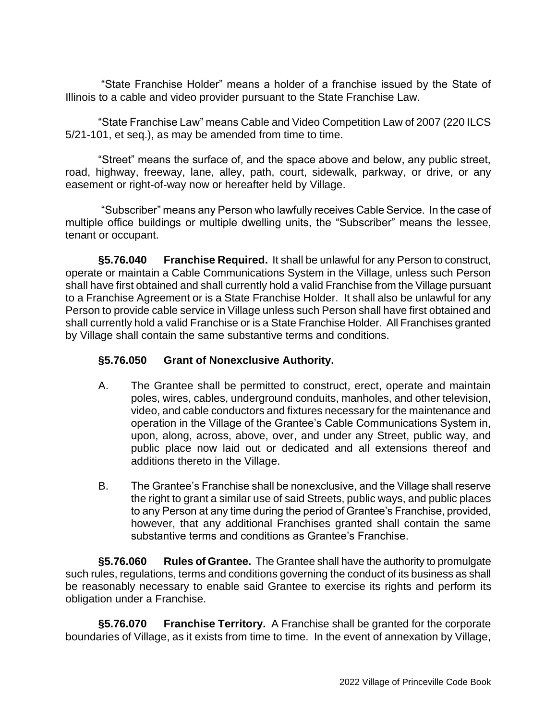"State Franchise Holder" means a holder of a franchise issued by the State of Illinois to a cable and video provider pursuant to the State Franchise Law.

"State Franchise Law" means Cable and Video Competition Law of 2007 (220 ILCS 5/21-101, et seq.), as may be amended from time to time.

"Street" means the surface of, and the space above and below, any public street, road, highway, freeway, lane, alley, path, court, sidewalk, parkway, or drive, or any easement or right-of-way now or hereafter held by Village.

"Subscriber" means any Person who lawfully receives Cable Service. In the case of multiple office buildings or multiple dwelling units, the "Subscriber" means the lessee, tenant or occupant.

**§5.76.040 Franchise Required.** It shall be unlawful for any Person to construct, operate or maintain a Cable Communications System in the Village, unless such Person shall have first obtained and shall currently hold a valid Franchise from the Village pursuant to a Franchise Agreement or is a State Franchise Holder. It shall also be unlawful for any Person to provide cable service in Village unless such Person shall have first obtained and shall currently hold a valid Franchise or is a State Franchise Holder. All Franchises granted by Village shall contain the same substantive terms and conditions.

## **§5.76.050 Grant of Nonexclusive Authority.**

- A. The Grantee shall be permitted to construct, erect, operate and maintain poles, wires, cables, underground conduits, manholes, and other television, video, and cable conductors and fixtures necessary for the maintenance and operation in the Village of the Grantee's Cable Communications System in, upon, along, across, above, over, and under any Street, public way, and public place now laid out or dedicated and all extensions thereof and additions thereto in the Village.
- B. The Grantee's Franchise shall be nonexclusive, and the Village shall reserve the right to grant a similar use of said Streets, public ways, and public places to any Person at any time during the period of Grantee's Franchise, provided, however, that any additional Franchises granted shall contain the same substantive terms and conditions as Grantee's Franchise.

**§5.76.060 Rules of Grantee.** The Grantee shall have the authority to promulgate such rules, regulations, terms and conditions governing the conduct of its business as shall be reasonably necessary to enable said Grantee to exercise its rights and perform its obligation under a Franchise.

**§5.76.070 Franchise Territory.** A Franchise shall be granted for the corporate boundaries of Village, as it exists from time to time. In the event of annexation by Village,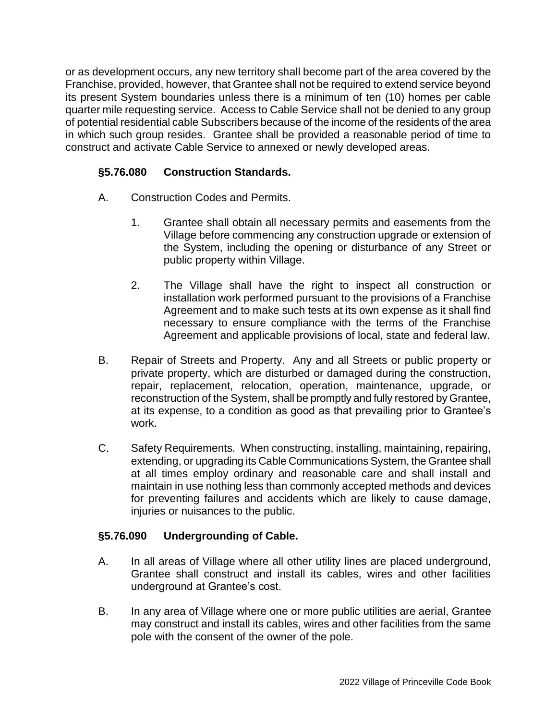or as development occurs, any new territory shall become part of the area covered by the Franchise, provided, however, that Grantee shall not be required to extend service beyond its present System boundaries unless there is a minimum of ten (10) homes per cable quarter mile requesting service. Access to Cable Service shall not be denied to any group of potential residential cable Subscribers because of the income of the residents of the area in which such group resides. Grantee shall be provided a reasonable period of time to construct and activate Cable Service to annexed or newly developed areas.

# **§5.76.080 Construction Standards.**

- A. Construction Codes and Permits.
	- 1. Grantee shall obtain all necessary permits and easements from the Village before commencing any construction upgrade or extension of the System, including the opening or disturbance of any Street or public property within Village.
	- 2. The Village shall have the right to inspect all construction or installation work performed pursuant to the provisions of a Franchise Agreement and to make such tests at its own expense as it shall find necessary to ensure compliance with the terms of the Franchise Agreement and applicable provisions of local, state and federal law.
- B. Repair of Streets and Property. Any and all Streets or public property or private property, which are disturbed or damaged during the construction, repair, replacement, relocation, operation, maintenance, upgrade, or reconstruction of the System, shall be promptly and fully restored by Grantee, at its expense, to a condition as good as that prevailing prior to Grantee's work.
- C. Safety Requirements. When constructing, installing, maintaining, repairing, extending, or upgrading its Cable Communications System, the Grantee shall at all times employ ordinary and reasonable care and shall install and maintain in use nothing less than commonly accepted methods and devices for preventing failures and accidents which are likely to cause damage, injuries or nuisances to the public.

## **§5.76.090 Undergrounding of Cable.**

- A. In all areas of Village where all other utility lines are placed underground, Grantee shall construct and install its cables, wires and other facilities underground at Grantee's cost.
- B. In any area of Village where one or more public utilities are aerial, Grantee may construct and install its cables, wires and other facilities from the same pole with the consent of the owner of the pole.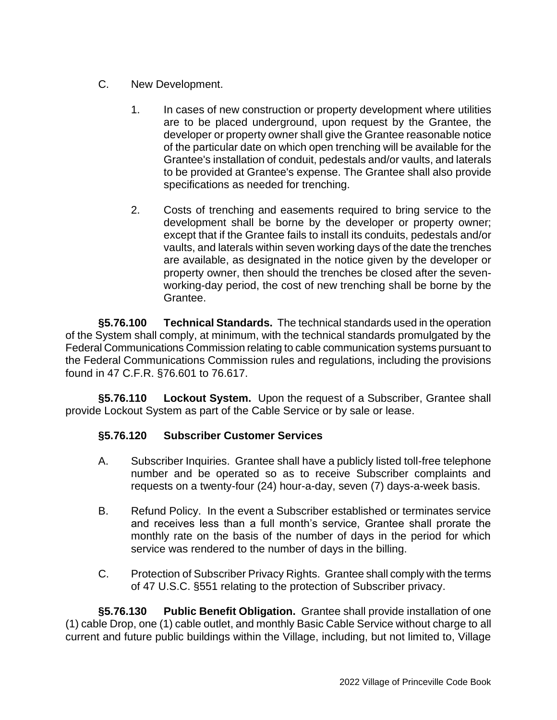- C. New Development.
	- 1. In cases of new construction or property development where utilities are to be placed underground, upon request by the Grantee, the developer or property owner shall give the Grantee reasonable notice of the particular date on which open trenching will be available for the Grantee's installation of conduit, pedestals and/or vaults, and laterals to be provided at Grantee's expense. The Grantee shall also provide specifications as needed for trenching.
	- 2. Costs of trenching and easements required to bring service to the development shall be borne by the developer or property owner; except that if the Grantee fails to install its conduits, pedestals and/or vaults, and laterals within seven working days of the date the trenches are available, as designated in the notice given by the developer or property owner, then should the trenches be closed after the sevenworking-day period, the cost of new trenching shall be borne by the Grantee.

**§5.76.100 Technical Standards.** The technical standards used in the operation of the System shall comply, at minimum, with the technical standards promulgated by the Federal Communications Commission relating to cable communication systems pursuant to the Federal Communications Commission rules and regulations, including the provisions found in 47 C.F.R. §76.601 to 76.617.

**§5.76.110 Lockout System.** Upon the request of a Subscriber, Grantee shall provide Lockout System as part of the Cable Service or by sale or lease.

## **§5.76.120 Subscriber Customer Services**

- A. Subscriber Inquiries. Grantee shall have a publicly listed toll-free telephone number and be operated so as to receive Subscriber complaints and requests on a twenty-four (24) hour-a-day, seven (7) days-a-week basis.
- B. Refund Policy. In the event a Subscriber established or terminates service and receives less than a full month's service, Grantee shall prorate the monthly rate on the basis of the number of days in the period for which service was rendered to the number of days in the billing.
- C. Protection of Subscriber Privacy Rights. Grantee shall comply with the terms of 47 U.S.C. §551 relating to the protection of Subscriber privacy.

**§5.76.130 Public Benefit Obligation.** Grantee shall provide installation of one (1) cable Drop, one (1) cable outlet, and monthly Basic Cable Service without charge to all current and future public buildings within the Village, including, but not limited to, Village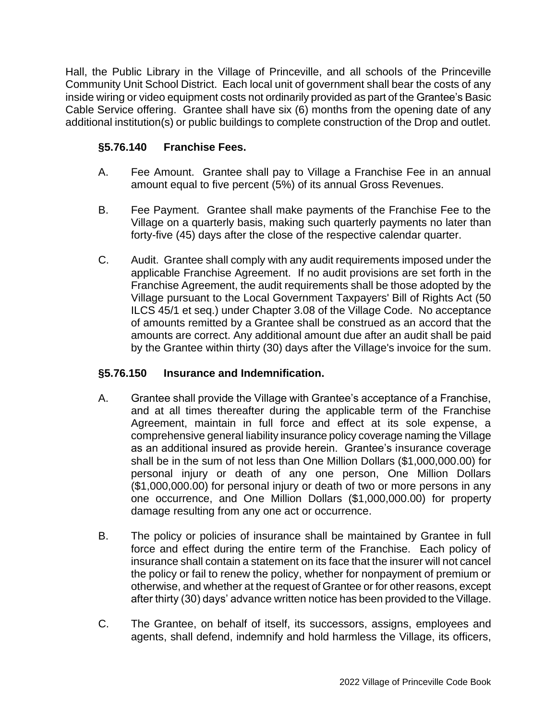Hall, the Public Library in the Village of Princeville, and all schools of the Princeville Community Unit School District. Each local unit of government shall bear the costs of any inside wiring or video equipment costs not ordinarily provided as part of the Grantee's Basic Cable Service offering. Grantee shall have six (6) months from the opening date of any additional institution(s) or public buildings to complete construction of the Drop and outlet.

# **§5.76.140 Franchise Fees.**

- A. Fee Amount. Grantee shall pay to Village a Franchise Fee in an annual amount equal to five percent (5%) of its annual Gross Revenues.
- B. Fee Payment. Grantee shall make payments of the Franchise Fee to the Village on a quarterly basis, making such quarterly payments no later than forty-five (45) days after the close of the respective calendar quarter.
- C. Audit. Grantee shall comply with any audit requirements imposed under the applicable Franchise Agreement. If no audit provisions are set forth in the Franchise Agreement, the audit requirements shall be those adopted by the Village pursuant to the Local Government Taxpayers' Bill of Rights Act (50 ILCS 45/1 et seq.) under Chapter 3.08 of the Village Code. No acceptance of amounts remitted by a Grantee shall be construed as an accord that the amounts are correct. Any additional amount due after an audit shall be paid by the Grantee within thirty (30) days after the Village's invoice for the sum.

## **§5.76.150 Insurance and Indemnification.**

- A. Grantee shall provide the Village with Grantee's acceptance of a Franchise, and at all times thereafter during the applicable term of the Franchise Agreement, maintain in full force and effect at its sole expense, a comprehensive general liability insurance policy coverage naming the Village as an additional insured as provide herein. Grantee's insurance coverage shall be in the sum of not less than One Million Dollars (\$1,000,000.00) for personal injury or death of any one person, One Million Dollars (\$1,000,000.00) for personal injury or death of two or more persons in any one occurrence, and One Million Dollars (\$1,000,000.00) for property damage resulting from any one act or occurrence.
- B. The policy or policies of insurance shall be maintained by Grantee in full force and effect during the entire term of the Franchise. Each policy of insurance shall contain a statement on its face that the insurer will not cancel the policy or fail to renew the policy, whether for nonpayment of premium or otherwise, and whether at the request of Grantee or for other reasons, except after thirty (30) days' advance written notice has been provided to the Village.
- C. The Grantee, on behalf of itself, its successors, assigns, employees and agents, shall defend, indemnify and hold harmless the Village, its officers,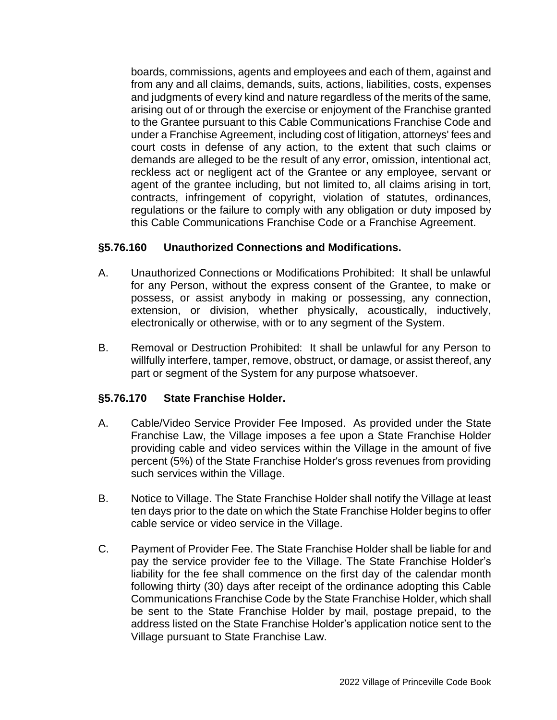boards, commissions, agents and employees and each of them, against and from any and all claims, demands, suits, actions, liabilities, costs, expenses and judgments of every kind and nature regardless of the merits of the same, arising out of or through the exercise or enjoyment of the Franchise granted to the Grantee pursuant to this Cable Communications Franchise Code and under a Franchise Agreement, including cost of litigation, attorneys' fees and court costs in defense of any action, to the extent that such claims or demands are alleged to be the result of any error, omission, intentional act, reckless act or negligent act of the Grantee or any employee, servant or agent of the grantee including, but not limited to, all claims arising in tort, contracts, infringement of copyright, violation of statutes, ordinances, regulations or the failure to comply with any obligation or duty imposed by this Cable Communications Franchise Code or a Franchise Agreement.

## **§5.76.160 Unauthorized Connections and Modifications.**

- A. Unauthorized Connections or Modifications Prohibited: It shall be unlawful for any Person, without the express consent of the Grantee, to make or possess, or assist anybody in making or possessing, any connection, extension, or division, whether physically, acoustically, inductively, electronically or otherwise, with or to any segment of the System.
- B. Removal or Destruction Prohibited: It shall be unlawful for any Person to willfully interfere, tamper, remove, obstruct, or damage, or assist thereof, any part or segment of the System for any purpose whatsoever.

### **§5.76.170 State Franchise Holder.**

- A. Cable/Video Service Provider Fee Imposed. As provided under the State Franchise Law, the Village imposes a fee upon a State Franchise Holder providing cable and video services within the Village in the amount of five percent (5%) of the State Franchise Holder's gross revenues from providing such services within the Village.
- B. Notice to Village. The State Franchise Holder shall notify the Village at least ten days prior to the date on which the State Franchise Holder begins to offer cable service or video service in the Village.
- C. Payment of Provider Fee. The State Franchise Holder shall be liable for and pay the service provider fee to the Village. The State Franchise Holder's liability for the fee shall commence on the first day of the calendar month following thirty (30) days after receipt of the ordinance adopting this Cable Communications Franchise Code by the State Franchise Holder, which shall be sent to the State Franchise Holder by mail, postage prepaid, to the address listed on the State Franchise Holder's application notice sent to the Village pursuant to State Franchise Law.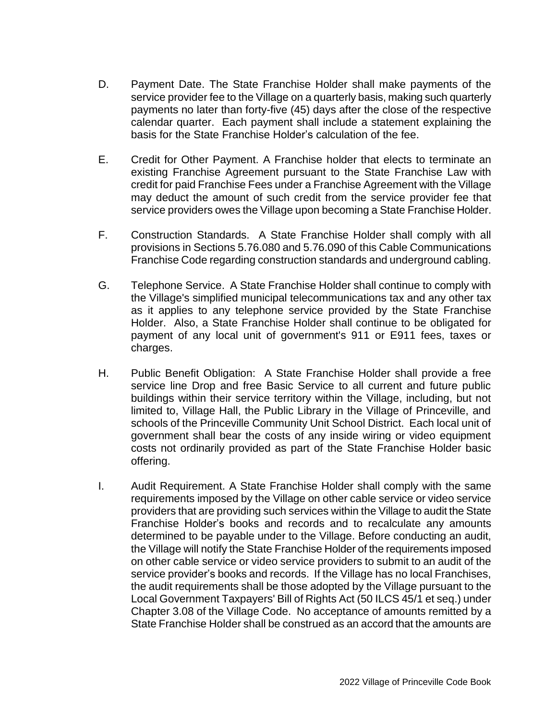- D. Payment Date. The State Franchise Holder shall make payments of the service provider fee to the Village on a quarterly basis, making such quarterly payments no later than forty-five (45) days after the close of the respective calendar quarter. Each payment shall include a statement explaining the basis for the State Franchise Holder's calculation of the fee.
- E. Credit for Other Payment. A Franchise holder that elects to terminate an existing Franchise Agreement pursuant to the State Franchise Law with credit for paid Franchise Fees under a Franchise Agreement with the Village may deduct the amount of such credit from the service provider fee that service providers owes the Village upon becoming a State Franchise Holder.
- F. Construction Standards. A State Franchise Holder shall comply with all provisions in Sections 5.76.080 and 5.76.090 of this Cable Communications Franchise Code regarding construction standards and underground cabling.
- G. Telephone Service. A State Franchise Holder shall continue to comply with the Village's simplified municipal telecommunications tax and any other tax as it applies to any telephone service provided by the State Franchise Holder. Also, a State Franchise Holder shall continue to be obligated for payment of any local unit of government's 911 or E911 fees, taxes or charges.
- H. Public Benefit Obligation: A State Franchise Holder shall provide a free service line Drop and free Basic Service to all current and future public buildings within their service territory within the Village, including, but not limited to, Village Hall, the Public Library in the Village of Princeville, and schools of the Princeville Community Unit School District. Each local unit of government shall bear the costs of any inside wiring or video equipment costs not ordinarily provided as part of the State Franchise Holder basic offering.
- I. Audit Requirement. A State Franchise Holder shall comply with the same requirements imposed by the Village on other cable service or video service providers that are providing such services within the Village to audit the State Franchise Holder's books and records and to recalculate any amounts determined to be payable under to the Village. Before conducting an audit, the Village will notify the State Franchise Holder of the requirements imposed on other cable service or video service providers to submit to an audit of the service provider's books and records. If the Village has no local Franchises, the audit requirements shall be those adopted by the Village pursuant to the Local Government Taxpayers' Bill of Rights Act (50 ILCS 45/1 et seq.) under Chapter 3.08 of the Village Code. No acceptance of amounts remitted by a State Franchise Holder shall be construed as an accord that the amounts are